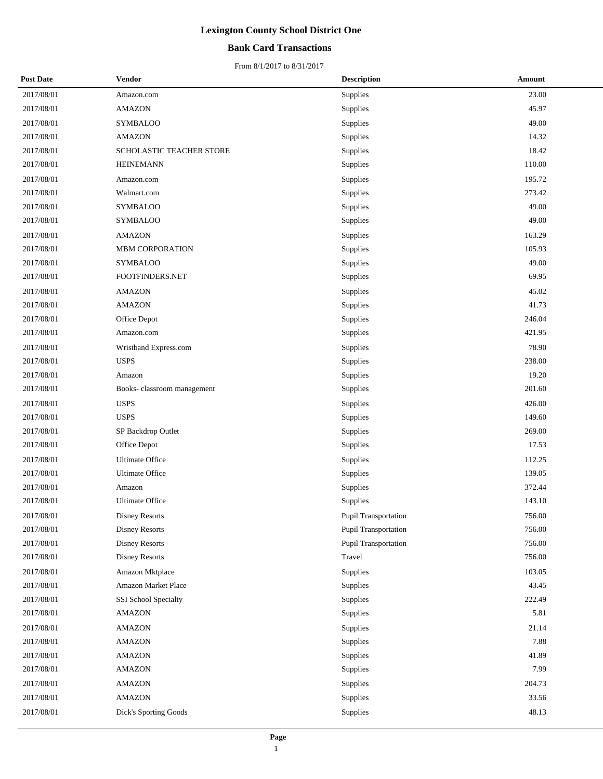## **Bank Card Transactions**

| <b>Post Date</b> | Vendor                     | <b>Description</b>   | Amount |
|------------------|----------------------------|----------------------|--------|
| 2017/08/01       | Amazon.com                 | Supplies             | 23.00  |
| 2017/08/01       | <b>AMAZON</b>              | Supplies             | 45.97  |
| 2017/08/01       | <b>SYMBALOO</b>            | Supplies             | 49.00  |
| 2017/08/01       | <b>AMAZON</b>              | Supplies             | 14.32  |
| 2017/08/01       | SCHOLASTIC TEACHER STORE   | Supplies             | 18.42  |
| 2017/08/01       | <b>HEINEMANN</b>           | Supplies             | 110.00 |
| 2017/08/01       | Amazon.com                 | Supplies             | 195.72 |
| 2017/08/01       | Walmart.com                | Supplies             | 273.42 |
| 2017/08/01       | SYMBALOO                   | Supplies             | 49.00  |
| 2017/08/01       | <b>SYMBALOO</b>            | Supplies             | 49.00  |
| 2017/08/01       | <b>AMAZON</b>              | Supplies             | 163.29 |
| 2017/08/01       | <b>MBM CORPORATION</b>     | Supplies             | 105.93 |
| 2017/08/01       | <b>SYMBALOO</b>            | Supplies             | 49.00  |
| 2017/08/01       | FOOTFINDERS.NET            | Supplies             | 69.95  |
| 2017/08/01       | <b>AMAZON</b>              | Supplies             | 45.02  |
| 2017/08/01       | <b>AMAZON</b>              | Supplies             | 41.73  |
| 2017/08/01       | Office Depot               | Supplies             | 246.04 |
| 2017/08/01       | Amazon.com                 | Supplies             | 421.95 |
| 2017/08/01       | Wristband Express.com      | Supplies             | 78.90  |
| 2017/08/01       | <b>USPS</b>                | Supplies             | 238.00 |
| 2017/08/01       | Amazon                     | Supplies             | 19.20  |
| 2017/08/01       | Books-classroom management | Supplies             | 201.60 |
| 2017/08/01       | <b>USPS</b>                | Supplies             | 426.00 |
| 2017/08/01       | <b>USPS</b>                | Supplies             | 149.60 |
| 2017/08/01       | SP Backdrop Outlet         | Supplies             | 269.00 |
| 2017/08/01       | Office Depot               | Supplies             | 17.53  |
| 2017/08/01       | <b>Ultimate Office</b>     | Supplies             | 112.25 |
| 2017/08/01       | <b>Ultimate Office</b>     | Supplies             | 139.05 |
| 2017/08/01       | Amazon                     | Supplies             | 372.44 |
| 2017/08/01       | <b>Ultimate Office</b>     | Supplies             | 143.10 |
| 2017/08/01       | Disney Resorts             | Pupil Transportation | 756.00 |
| 2017/08/01       | <b>Disney Resorts</b>      | Pupil Transportation | 756.00 |
| 2017/08/01       | <b>Disney Resorts</b>      | Pupil Transportation | 756.00 |
| 2017/08/01       | Disney Resorts             | Travel               | 756.00 |
| 2017/08/01       | Amazon Mktplace            | Supplies             | 103.05 |
| 2017/08/01       | Amazon Market Place        | Supplies             | 43.45  |
| 2017/08/01       | SSI School Specialty       | Supplies             | 222.49 |
| 2017/08/01       | <b>AMAZON</b>              | Supplies             | 5.81   |
| 2017/08/01       | <b>AMAZON</b>              | Supplies             | 21.14  |
| 2017/08/01       | <b>AMAZON</b>              | Supplies             | 7.88   |
| 2017/08/01       | <b>AMAZON</b>              | Supplies             | 41.89  |
| 2017/08/01       | <b>AMAZON</b>              | Supplies             | 7.99   |
| 2017/08/01       | <b>AMAZON</b>              | Supplies             | 204.73 |
| 2017/08/01       | <b>AMAZON</b>              | Supplies             | 33.56  |
| 2017/08/01       | Dick's Sporting Goods      | Supplies             | 48.13  |
|                  |                            |                      |        |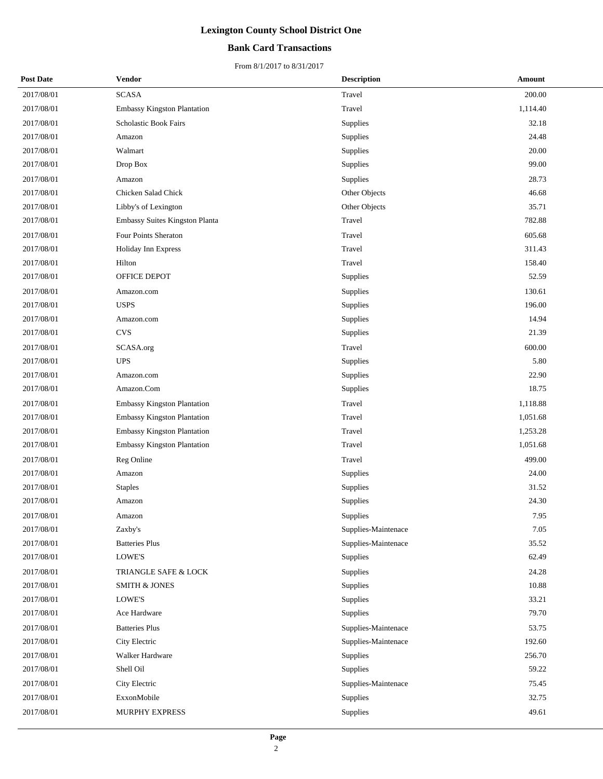## **Bank Card Transactions**

| <b>Post Date</b> | Vendor                             | <b>Description</b>  | Amount   |
|------------------|------------------------------------|---------------------|----------|
| 2017/08/01       | <b>SCASA</b>                       | Travel              | 200.00   |
| 2017/08/01       | <b>Embassy Kingston Plantation</b> | Travel              | 1,114.40 |
| 2017/08/01       | Scholastic Book Fairs              | Supplies            | 32.18    |
| 2017/08/01       | Amazon                             | Supplies            | 24.48    |
| 2017/08/01       | Walmart                            | Supplies            | 20.00    |
| 2017/08/01       | Drop Box                           | Supplies            | 99.00    |
| 2017/08/01       | Amazon                             | Supplies            | 28.73    |
| 2017/08/01       | Chicken Salad Chick                | Other Objects       | 46.68    |
| 2017/08/01       | Libby's of Lexington               | Other Objects       | 35.71    |
| 2017/08/01       | Embassy Suites Kingston Planta     | Travel              | 782.88   |
| 2017/08/01       | Four Points Sheraton               | Travel              | 605.68   |
| 2017/08/01       | Holiday Inn Express                | Travel              | 311.43   |
| 2017/08/01       | Hilton                             | Travel              | 158.40   |
| 2017/08/01       | OFFICE DEPOT                       | Supplies            | 52.59    |
| 2017/08/01       | Amazon.com                         | Supplies            | 130.61   |
| 2017/08/01       | <b>USPS</b>                        | Supplies            | 196.00   |
| 2017/08/01       | Amazon.com                         | Supplies            | 14.94    |
| 2017/08/01       | <b>CVS</b>                         | Supplies            | 21.39    |
| 2017/08/01       | SCASA.org                          | Travel              | 600.00   |
| 2017/08/01       | <b>UPS</b>                         | Supplies            | 5.80     |
| 2017/08/01       | Amazon.com                         | Supplies            | 22.90    |
| 2017/08/01       | Amazon.Com                         | Supplies            | 18.75    |
| 2017/08/01       | <b>Embassy Kingston Plantation</b> | Travel              | 1,118.88 |
| 2017/08/01       | <b>Embassy Kingston Plantation</b> | Travel              | 1,051.68 |
| 2017/08/01       | Embassy Kingston Plantation        | Travel              | 1,253.28 |
| 2017/08/01       | <b>Embassy Kingston Plantation</b> | Travel              | 1,051.68 |
| 2017/08/01       | Reg Online                         | Travel              | 499.00   |
| 2017/08/01       | Amazon                             | Supplies            | 24.00    |
| 2017/08/01       | <b>Staples</b>                     | Supplies            | 31.52    |
| 2017/08/01       | Amazon                             | Supplies            | 24.30    |
| 2017/08/01       | Amazon                             | Supplies            | 7.95     |
| 2017/08/01       | Zaxby's                            | Supplies-Maintenace | 7.05     |
| 2017/08/01       | <b>Batteries Plus</b>              | Supplies-Maintenace | 35.52    |
| 2017/08/01       | LOWE'S                             | Supplies            | 62.49    |
| 2017/08/01       | TRIANGLE SAFE & LOCK               | Supplies            | 24.28    |
| 2017/08/01       | <b>SMITH &amp; JONES</b>           | Supplies            | 10.88    |
| 2017/08/01       | LOWE'S                             | Supplies            | 33.21    |
| 2017/08/01       | Ace Hardware                       | Supplies            | 79.70    |
| 2017/08/01       | <b>Batteries Plus</b>              | Supplies-Maintenace | 53.75    |
| 2017/08/01       | City Electric                      | Supplies-Maintenace | 192.60   |
| 2017/08/01       | Walker Hardware                    | Supplies            | 256.70   |
| 2017/08/01       | Shell Oil                          | Supplies            | 59.22    |
| 2017/08/01       | City Electric                      | Supplies-Maintenace | 75.45    |
| 2017/08/01       | ExxonMobile                        | Supplies            | 32.75    |
| 2017/08/01       | MURPHY EXPRESS                     | Supplies            | 49.61    |
|                  |                                    |                     |          |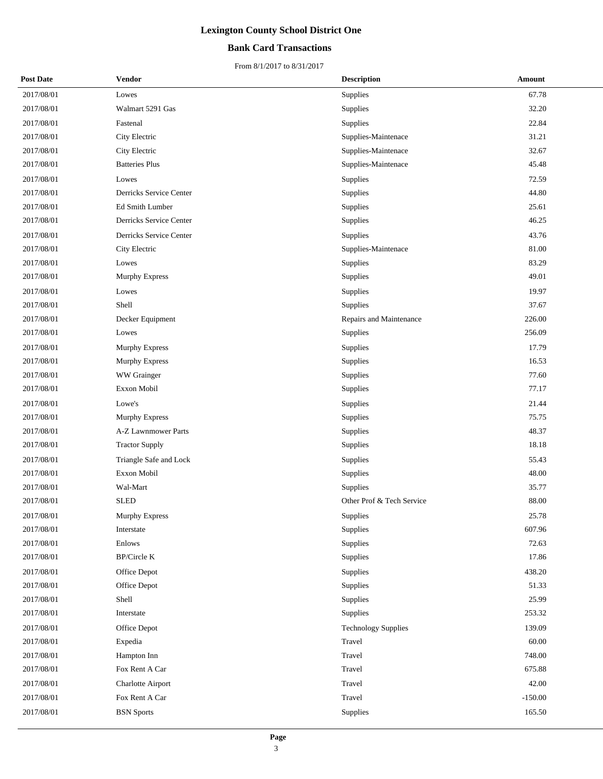## **Bank Card Transactions**

| <b>Post Date</b> | Vendor                       | <b>Description</b>         | Amount    |
|------------------|------------------------------|----------------------------|-----------|
| 2017/08/01       | Lowes                        | Supplies                   | 67.78     |
| 2017/08/01       | Walmart 5291 Gas             | Supplies                   | 32.20     |
| 2017/08/01       | Fastenal                     | Supplies                   | 22.84     |
| 2017/08/01       | City Electric                | Supplies-Maintenace        | 31.21     |
| 2017/08/01       | City Electric                | Supplies-Maintenace        | 32.67     |
| 2017/08/01       | <b>Batteries Plus</b>        | Supplies-Maintenace        | 45.48     |
| 2017/08/01       | Lowes                        | Supplies                   | 72.59     |
| 2017/08/01       | Derricks Service Center      | Supplies                   | 44.80     |
| 2017/08/01       | Ed Smith Lumber              | Supplies                   | 25.61     |
| 2017/08/01       | Derricks Service Center      | Supplies                   | 46.25     |
| 2017/08/01       | Derricks Service Center      | Supplies                   | 43.76     |
| 2017/08/01       | City Electric                | Supplies-Maintenace        | 81.00     |
| 2017/08/01       | Lowes                        | Supplies                   | 83.29     |
| 2017/08/01       | Murphy Express               | Supplies                   | 49.01     |
| 2017/08/01       | Lowes                        | Supplies                   | 19.97     |
| 2017/08/01       | Shell                        | Supplies                   | 37.67     |
| 2017/08/01       | Decker Equipment             | Repairs and Maintenance    | 226.00    |
| 2017/08/01       | Lowes                        | Supplies                   | 256.09    |
| 2017/08/01       | Murphy Express               | Supplies                   | 17.79     |
| 2017/08/01       | Murphy Express               | Supplies                   | 16.53     |
| 2017/08/01       | WW Grainger                  | Supplies                   | 77.60     |
| 2017/08/01       | Exxon Mobil                  | Supplies                   | 77.17     |
| 2017/08/01       | Lowe's                       | Supplies                   | 21.44     |
| 2017/08/01       | Murphy Express               | Supplies                   | 75.75     |
| 2017/08/01       | A-Z Lawnmower Parts          | Supplies                   | 48.37     |
| 2017/08/01       | <b>Tractor Supply</b>        | Supplies                   | 18.18     |
| 2017/08/01       | Triangle Safe and Lock       | Supplies                   | 55.43     |
| 2017/08/01       | Exxon Mobil                  | Supplies                   | 48.00     |
| 2017/08/01       | Wal-Mart                     | Supplies                   | 35.77     |
| 2017/08/01       | <b>SLED</b>                  | Other Prof & Tech Service  | 88.00     |
| 2017/08/01       | Murphy Express               | Supplies                   | 25.78     |
| 2017/08/01       | Interstate                   | Supplies                   | 607.96    |
| 2017/08/01       | Enlows                       | Supplies                   | 72.63     |
| 2017/08/01       | $\operatorname{BP/Circle}$ K | Supplies                   | 17.86     |
| 2017/08/01       | Office Depot                 | Supplies                   | 438.20    |
| 2017/08/01       | Office Depot                 | Supplies                   | 51.33     |
| 2017/08/01       | Shell                        | Supplies                   | 25.99     |
| 2017/08/01       | Interstate                   | Supplies                   | 253.32    |
| 2017/08/01       | Office Depot                 | <b>Technology Supplies</b> | 139.09    |
| 2017/08/01       | Expedia                      | Travel                     | 60.00     |
| 2017/08/01       | Hampton Inn                  | Travel                     | 748.00    |
| 2017/08/01       | Fox Rent A Car               | Travel                     | 675.88    |
| 2017/08/01       | Charlotte Airport            | Travel                     | 42.00     |
| 2017/08/01       | Fox Rent A Car               | Travel                     | $-150.00$ |
| 2017/08/01       | <b>BSN</b> Sports            | Supplies                   | 165.50    |
|                  |                              |                            |           |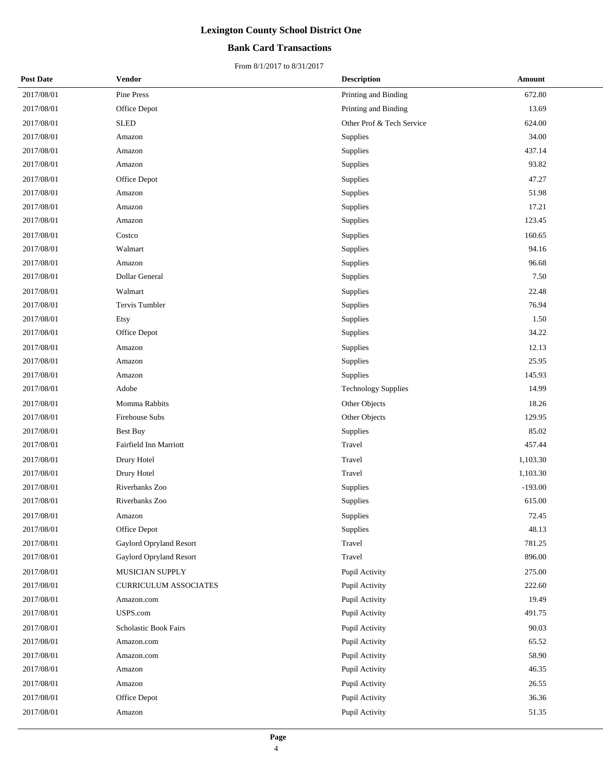## **Bank Card Transactions**

| <b>Post Date</b> | Vendor                       | <b>Description</b>         | Amount    |
|------------------|------------------------------|----------------------------|-----------|
| 2017/08/01       | Pine Press                   | Printing and Binding       | 672.80    |
| 2017/08/01       | Office Depot                 | Printing and Binding       | 13.69     |
| 2017/08/01       | <b>SLED</b>                  | Other Prof & Tech Service  | 624.00    |
| 2017/08/01       | Amazon                       | Supplies                   | 34.00     |
| 2017/08/01       | Amazon                       | Supplies                   | 437.14    |
| 2017/08/01       | Amazon                       | Supplies                   | 93.82     |
| 2017/08/01       | Office Depot                 | Supplies                   | 47.27     |
| 2017/08/01       | Amazon                       | Supplies                   | 51.98     |
| 2017/08/01       | Amazon                       | Supplies                   | 17.21     |
| 2017/08/01       | Amazon                       | Supplies                   | 123.45    |
| 2017/08/01       | Costco                       | Supplies                   | 160.65    |
| 2017/08/01       | Walmart                      | Supplies                   | 94.16     |
| 2017/08/01       | Amazon                       | Supplies                   | 96.68     |
| 2017/08/01       | Dollar General               | Supplies                   | 7.50      |
| 2017/08/01       | Walmart                      | Supplies                   | 22.48     |
| 2017/08/01       | Tervis Tumbler               | Supplies                   | 76.94     |
| 2017/08/01       | Etsy                         | Supplies                   | 1.50      |
| 2017/08/01       | Office Depot                 | Supplies                   | 34.22     |
| 2017/08/01       | Amazon                       | Supplies                   | 12.13     |
| 2017/08/01       | Amazon                       | Supplies                   | 25.95     |
| 2017/08/01       | Amazon                       | Supplies                   | 145.93    |
| 2017/08/01       | Adobe                        | <b>Technology Supplies</b> | 14.99     |
| 2017/08/01       | Momma Rabbits                | Other Objects              | 18.26     |
| 2017/08/01       | Firehouse Subs               | Other Objects              | 129.95    |
| 2017/08/01       | <b>Best Buy</b>              | Supplies                   | 85.02     |
| 2017/08/01       | Fairfield Inn Marriott       | Travel                     | 457.44    |
| 2017/08/01       | Drury Hotel                  | Travel                     | 1,103.30  |
| 2017/08/01       | Drury Hotel                  | Travel                     | 1,103.30  |
| 2017/08/01       | Riverbanks Zoo               | Supplies                   | $-193.00$ |
| 2017/08/01       | Riverbanks Zoo               | Supplies                   | 615.00    |
| 2017/08/01       | Amazon                       | Supplies                   | 72.45     |
| 2017/08/01       | Office Depot                 | Supplies                   | 48.13     |
| 2017/08/01       | Gaylord Opryland Resort      | Travel                     | 781.25    |
| 2017/08/01       | Gaylord Opryland Resort      | Travel                     | 896.00    |
| 2017/08/01       | MUSICIAN SUPPLY              | Pupil Activity             | 275.00    |
| 2017/08/01       | <b>CURRICULUM ASSOCIATES</b> | Pupil Activity             | 222.60    |
| 2017/08/01       | Amazon.com                   | Pupil Activity             | 19.49     |
| 2017/08/01       | USPS.com                     | Pupil Activity             | 491.75    |
| 2017/08/01       | Scholastic Book Fairs        | Pupil Activity             | 90.03     |
| 2017/08/01       | Amazon.com                   | Pupil Activity             | 65.52     |
| 2017/08/01       | Amazon.com                   | Pupil Activity             | 58.90     |
| 2017/08/01       | Amazon                       | Pupil Activity             | 46.35     |
| 2017/08/01       | Amazon                       | Pupil Activity             | 26.55     |
| 2017/08/01       | Office Depot                 | Pupil Activity             | 36.36     |
| 2017/08/01       | Amazon                       | Pupil Activity             | 51.35     |
|                  |                              |                            |           |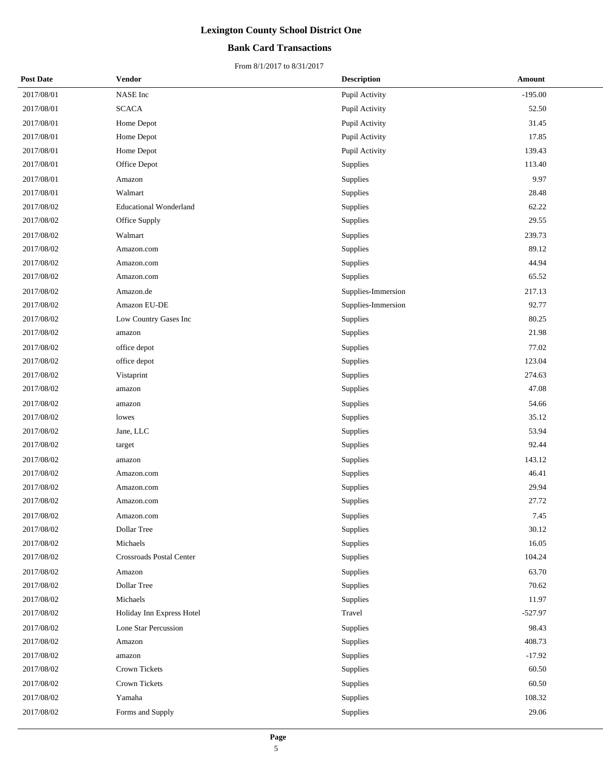## **Bank Card Transactions**

| <b>Post Date</b> | Vendor                        | <b>Description</b> | <b>Amount</b> |  |
|------------------|-------------------------------|--------------------|---------------|--|
| 2017/08/01       | NASE Inc                      | Pupil Activity     | $-195.00$     |  |
| 2017/08/01       | <b>SCACA</b>                  | Pupil Activity     | 52.50         |  |
| 2017/08/01       | Home Depot                    | Pupil Activity     | 31.45         |  |
| 2017/08/01       | Home Depot                    | Pupil Activity     | 17.85         |  |
| 2017/08/01       | Home Depot                    | Pupil Activity     | 139.43        |  |
| 2017/08/01       | Office Depot                  | Supplies           | 113.40        |  |
| 2017/08/01       | Amazon                        | Supplies           | 9.97          |  |
| 2017/08/01       | Walmart                       | Supplies           | 28.48         |  |
| 2017/08/02       | <b>Educational Wonderland</b> | Supplies           | 62.22         |  |
| 2017/08/02       | Office Supply                 | Supplies           | 29.55         |  |
| 2017/08/02       | Walmart                       | Supplies           | 239.73        |  |
| 2017/08/02       | Amazon.com                    | Supplies           | 89.12         |  |
| 2017/08/02       | Amazon.com                    | Supplies           | 44.94         |  |
| 2017/08/02       | Amazon.com                    | Supplies           | 65.52         |  |
| 2017/08/02       | Amazon.de                     | Supplies-Immersion | 217.13        |  |
| 2017/08/02       | Amazon EU-DE                  | Supplies-Immersion | 92.77         |  |
| 2017/08/02       | Low Country Gases Inc         | Supplies           | 80.25         |  |
| 2017/08/02       | amazon                        | Supplies           | 21.98         |  |
| 2017/08/02       | office depot                  | Supplies           | 77.02         |  |
| 2017/08/02       | office depot                  | Supplies           | 123.04        |  |
| 2017/08/02       | Vistaprint                    | Supplies           | 274.63        |  |
| 2017/08/02       | amazon                        | Supplies           | 47.08         |  |
| 2017/08/02       | amazon                        | Supplies           | 54.66         |  |
| 2017/08/02       | lowes                         | Supplies           | 35.12         |  |
| 2017/08/02       | Jane, LLC                     | Supplies           | 53.94         |  |
| 2017/08/02       | target                        | Supplies           | 92.44         |  |
| 2017/08/02       | amazon                        | Supplies           | 143.12        |  |
| 2017/08/02       | Amazon.com                    | Supplies           | 46.41         |  |
| 2017/08/02       | Amazon.com                    | Supplies           | 29.94         |  |
| 2017/08/02       | Amazon.com                    | Supplies           | 27.72         |  |
| 2017/08/02       | Amazon.com                    | Supplies           | 7.45          |  |
| 2017/08/02       | Dollar Tree                   | Supplies           | 30.12         |  |
| 2017/08/02       | Michaels                      | Supplies           | 16.05         |  |
| 2017/08/02       | Crossroads Postal Center      | Supplies           | 104.24        |  |
| 2017/08/02       | Amazon                        | Supplies           | 63.70         |  |
| 2017/08/02       | Dollar Tree                   | Supplies           | 70.62         |  |
| 2017/08/02       | Michaels                      | Supplies           | 11.97         |  |
| 2017/08/02       | Holiday Inn Express Hotel     | Travel             | $-527.97$     |  |
| 2017/08/02       | Lone Star Percussion          | Supplies           | 98.43         |  |
| 2017/08/02       | Amazon                        | Supplies           | 408.73        |  |
| 2017/08/02       | amazon                        | Supplies           | $-17.92$      |  |
| 2017/08/02       | Crown Tickets                 | Supplies           | 60.50         |  |
| 2017/08/02       | Crown Tickets                 | Supplies           | 60.50         |  |
| 2017/08/02       | Yamaha                        | Supplies           | 108.32        |  |
| 2017/08/02       | Forms and Supply              | Supplies           | 29.06         |  |
|                  |                               |                    |               |  |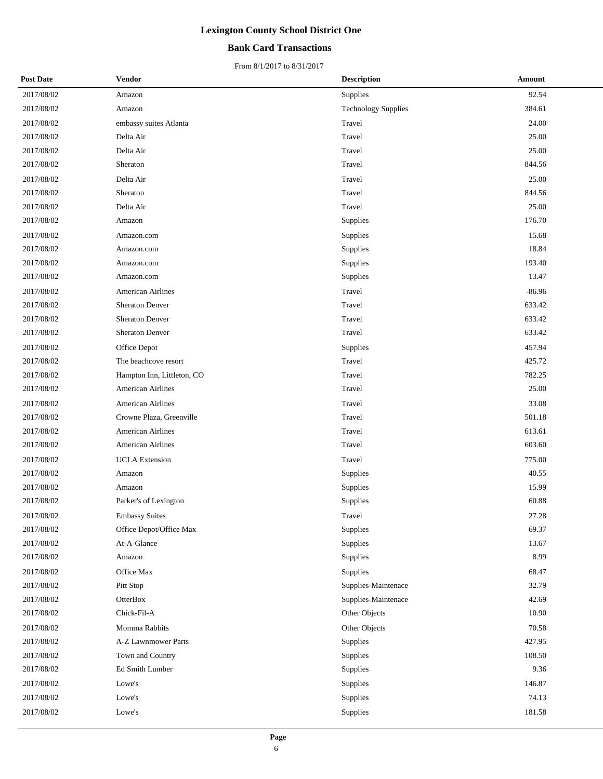## **Bank Card Transactions**

| <b>Post Date</b> | Vendor                     | <b>Description</b>         | Amount   |
|------------------|----------------------------|----------------------------|----------|
| 2017/08/02       | Amazon                     | Supplies                   | 92.54    |
| 2017/08/02       | Amazon                     | <b>Technology Supplies</b> | 384.61   |
| 2017/08/02       | embassy suites Atlanta     | Travel                     | 24.00    |
| 2017/08/02       | Delta Air                  | Travel                     | 25.00    |
| 2017/08/02       | Delta Air                  | Travel                     | 25.00    |
| 2017/08/02       | Sheraton                   | Travel                     | 844.56   |
| 2017/08/02       | Delta Air                  | Travel                     | 25.00    |
| 2017/08/02       | Sheraton                   | Travel                     | 844.56   |
| 2017/08/02       | Delta Air                  | Travel                     | 25.00    |
| 2017/08/02       | Amazon                     | Supplies                   | 176.70   |
| 2017/08/02       | Amazon.com                 | Supplies                   | 15.68    |
| 2017/08/02       | Amazon.com                 | Supplies                   | 18.84    |
| 2017/08/02       | Amazon.com                 | Supplies                   | 193.40   |
| 2017/08/02       | Amazon.com                 | Supplies                   | 13.47    |
| 2017/08/02       | <b>American Airlines</b>   | Travel                     | $-86.96$ |
| 2017/08/02       | <b>Sheraton Denver</b>     | Travel                     | 633.42   |
| 2017/08/02       | <b>Sheraton Denver</b>     | Travel                     | 633.42   |
| 2017/08/02       | <b>Sheraton Denver</b>     | Travel                     | 633.42   |
| 2017/08/02       | Office Depot               | Supplies                   | 457.94   |
| 2017/08/02       | The beachcove resort       | Travel                     | 425.72   |
| 2017/08/02       | Hampton Inn, Littleton, CO | Travel                     | 782.25   |
| 2017/08/02       | <b>American Airlines</b>   | Travel                     | 25.00    |
| 2017/08/02       | <b>American Airlines</b>   | Travel                     | 33.08    |
| 2017/08/02       | Crowne Plaza, Greenville   | Travel                     | 501.18   |
| 2017/08/02       | <b>American Airlines</b>   | Travel                     | 613.61   |
| 2017/08/02       | <b>American Airlines</b>   | Travel                     | 603.60   |
| 2017/08/02       | <b>UCLA</b> Extension      | Travel                     | 775.00   |
| 2017/08/02       | Amazon                     | Supplies                   | 40.55    |
| 2017/08/02       | Amazon                     | Supplies                   | 15.99    |
| 2017/08/02       | Parker's of Lexington      | Supplies                   | 60.88    |
| 2017/08/02       | <b>Embassy Suites</b>      | Travel                     | 27.28    |
| 2017/08/02       | Office Depot/Office Max    | Supplies                   | 69.37    |
| 2017/08/02       | At-A-Glance                | Supplies                   | 13.67    |
| 2017/08/02       | Amazon                     | Supplies                   | 8.99     |
| 2017/08/02       | Office Max                 | Supplies                   | 68.47    |
| 2017/08/02       | Pitt Stop                  | Supplies-Maintenace        | 32.79    |
| 2017/08/02       | OtterBox                   | Supplies-Maintenace        | 42.69    |
| 2017/08/02       | Chick-Fil-A                | Other Objects              | 10.90    |
| 2017/08/02       | Momma Rabbits              | Other Objects              | 70.58    |
| 2017/08/02       | A-Z Lawnmower Parts        | Supplies                   | 427.95   |
| 2017/08/02       | Town and Country           | Supplies                   | 108.50   |
| 2017/08/02       | Ed Smith Lumber            | Supplies                   | 9.36     |
| 2017/08/02       | Lowe's                     | Supplies                   | 146.87   |
| 2017/08/02       | Lowe's                     | Supplies                   | 74.13    |
| 2017/08/02       | Lowe's                     | Supplies                   | 181.58   |
|                  |                            |                            |          |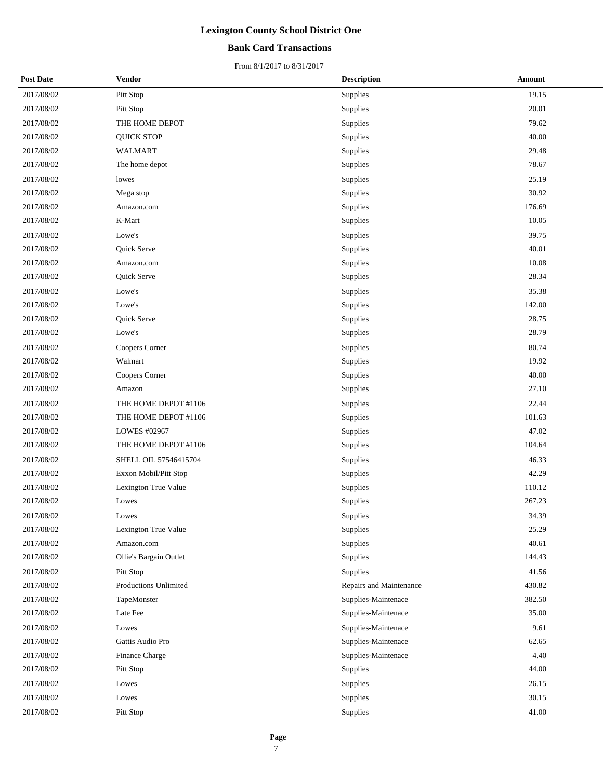## **Bank Card Transactions**

| <b>Post Date</b> | Vendor                 | <b>Description</b>      | Amount |
|------------------|------------------------|-------------------------|--------|
| 2017/08/02       | Pitt Stop              | Supplies                | 19.15  |
| 2017/08/02       | Pitt Stop              | Supplies                | 20.01  |
| 2017/08/02       | THE HOME DEPOT         | Supplies                | 79.62  |
| 2017/08/02       | <b>QUICK STOP</b>      | Supplies                | 40.00  |
| 2017/08/02       | <b>WALMART</b>         | Supplies                | 29.48  |
| 2017/08/02       | The home depot         | Supplies                | 78.67  |
| 2017/08/02       | lowes                  | Supplies                | 25.19  |
| 2017/08/02       | Mega stop              | Supplies                | 30.92  |
| 2017/08/02       | Amazon.com             | Supplies                | 176.69 |
| 2017/08/02       | K-Mart                 | Supplies                | 10.05  |
| 2017/08/02       | Lowe's                 | Supplies                | 39.75  |
| 2017/08/02       | Quick Serve            | Supplies                | 40.01  |
| 2017/08/02       | Amazon.com             | Supplies                | 10.08  |
| 2017/08/02       | Quick Serve            | Supplies                | 28.34  |
| 2017/08/02       | Lowe's                 | Supplies                | 35.38  |
| 2017/08/02       | Lowe's                 | Supplies                | 142.00 |
| 2017/08/02       | Quick Serve            | Supplies                | 28.75  |
| 2017/08/02       | Lowe's                 | Supplies                | 28.79  |
| 2017/08/02       | Coopers Corner         | Supplies                | 80.74  |
| 2017/08/02       | Walmart                | Supplies                | 19.92  |
| 2017/08/02       | Coopers Corner         | Supplies                | 40.00  |
| 2017/08/02       | Amazon                 | Supplies                | 27.10  |
| 2017/08/02       | THE HOME DEPOT #1106   | Supplies                | 22.44  |
| 2017/08/02       | THE HOME DEPOT #1106   | Supplies                | 101.63 |
| 2017/08/02       | LOWES #02967           | Supplies                | 47.02  |
| 2017/08/02       | THE HOME DEPOT #1106   | Supplies                | 104.64 |
| 2017/08/02       | SHELL OIL 57546415704  | Supplies                | 46.33  |
| 2017/08/02       | Exxon Mobil/Pitt Stop  | Supplies                | 42.29  |
| 2017/08/02       | Lexington True Value   | Supplies                | 110.12 |
| 2017/08/02       | Lowes                  | Supplies                | 267.23 |
| 2017/08/02       | Lowes                  | Supplies                | 34.39  |
| 2017/08/02       | Lexington True Value   | Supplies                | 25.29  |
| 2017/08/02       | Amazon.com             | Supplies                | 40.61  |
| 2017/08/02       | Ollie's Bargain Outlet | Supplies                | 144.43 |
| 2017/08/02       | Pitt Stop              | Supplies                | 41.56  |
| 2017/08/02       | Productions Unlimited  | Repairs and Maintenance | 430.82 |
| 2017/08/02       | TapeMonster            | Supplies-Maintenace     | 382.50 |
| 2017/08/02       | Late Fee               | Supplies-Maintenace     | 35.00  |
| 2017/08/02       | Lowes                  | Supplies-Maintenace     | 9.61   |
| 2017/08/02       | Gattis Audio Pro       | Supplies-Maintenace     | 62.65  |
| 2017/08/02       | Finance Charge         | Supplies-Maintenace     | 4.40   |
| 2017/08/02       | Pitt Stop              | Supplies                | 44.00  |
| 2017/08/02       | Lowes                  | Supplies                | 26.15  |
| 2017/08/02       | Lowes                  | Supplies                | 30.15  |
| 2017/08/02       | Pitt Stop              | Supplies                | 41.00  |
|                  |                        |                         |        |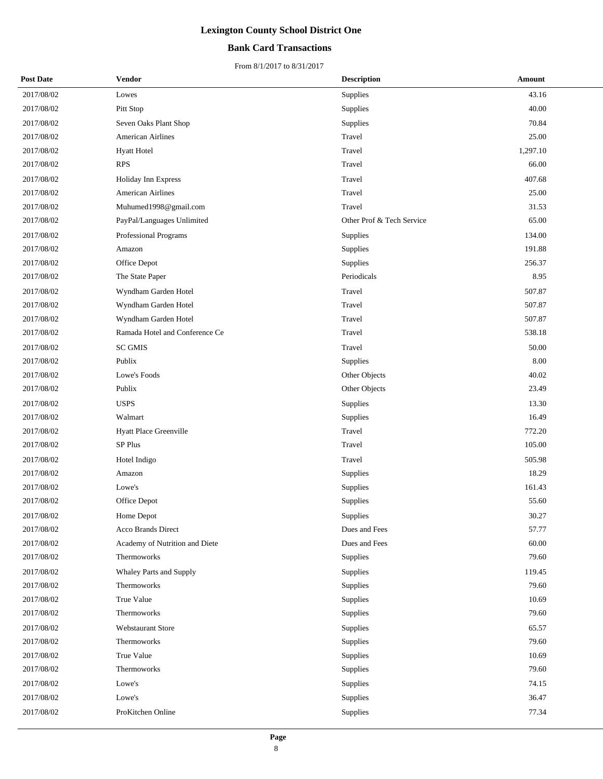## **Bank Card Transactions**

| <b>Post Date</b> | <b>Vendor</b>                  | <b>Description</b>        | Amount   |
|------------------|--------------------------------|---------------------------|----------|
| 2017/08/02       | Lowes                          | Supplies                  | 43.16    |
| 2017/08/02       | Pitt Stop                      | Supplies                  | 40.00    |
| 2017/08/02       | Seven Oaks Plant Shop          | Supplies                  | 70.84    |
| 2017/08/02       | <b>American Airlines</b>       | Travel                    | 25.00    |
| 2017/08/02       | <b>Hyatt Hotel</b>             | Travel                    | 1,297.10 |
| 2017/08/02       | <b>RPS</b>                     | Travel                    | 66.00    |
| 2017/08/02       | Holiday Inn Express            | Travel                    | 407.68   |
| 2017/08/02       | <b>American Airlines</b>       | Travel                    | 25.00    |
| 2017/08/02       | Muhumed1998@gmail.com          | Travel                    | 31.53    |
| 2017/08/02       | PayPal/Languages Unlimited     | Other Prof & Tech Service | 65.00    |
| 2017/08/02       | Professional Programs          | Supplies                  | 134.00   |
| 2017/08/02       | Amazon                         | Supplies                  | 191.88   |
| 2017/08/02       | Office Depot                   | Supplies                  | 256.37   |
| 2017/08/02       | The State Paper                | Periodicals               | 8.95     |
| 2017/08/02       | Wyndham Garden Hotel           | Travel                    | 507.87   |
| 2017/08/02       | Wyndham Garden Hotel           | Travel                    | 507.87   |
| 2017/08/02       | Wyndham Garden Hotel           | Travel                    | 507.87   |
| 2017/08/02       | Ramada Hotel and Conference Ce | Travel                    | 538.18   |
| 2017/08/02       | <b>SC GMIS</b>                 | Travel                    | 50.00    |
| 2017/08/02       | Publix                         | Supplies                  | 8.00     |
| 2017/08/02       | Lowe's Foods                   | Other Objects             | 40.02    |
| 2017/08/02       | Publix                         | Other Objects             | 23.49    |
| 2017/08/02       | <b>USPS</b>                    | Supplies                  | 13.30    |
| 2017/08/02       | Walmart                        | Supplies                  | 16.49    |
| 2017/08/02       | Hyatt Place Greenville         | Travel                    | 772.20   |
| 2017/08/02       | SP Plus                        | Travel                    | 105.00   |
| 2017/08/02       | Hotel Indigo                   | Travel                    | 505.98   |
| 2017/08/02       | Amazon                         | Supplies                  | 18.29    |
| 2017/08/02       | Lowe's                         | Supplies                  | 161.43   |
| 2017/08/02       | Office Depot                   | Supplies                  | 55.60    |
| 2017/08/02       | Home Depot                     | Supplies                  | 30.27    |
| 2017/08/02       | Acco Brands Direct             | Dues and Fees             | 57.77    |
| 2017/08/02       | Academy of Nutrition and Diete | Dues and Fees             | 60.00    |
| 2017/08/02       | Thermoworks                    | <b>Supplies</b>           | 79.60    |
| 2017/08/02       | <b>Whaley Parts and Supply</b> | Supplies                  | 119.45   |
| 2017/08/02       | Thermoworks                    | Supplies                  | 79.60    |
| 2017/08/02       | True Value                     | Supplies                  | 10.69    |
| 2017/08/02       | Thermoworks                    | Supplies                  | 79.60    |
| 2017/08/02       | <b>Webstaurant Store</b>       | Supplies                  | 65.57    |
| 2017/08/02       | Thermoworks                    | Supplies                  | 79.60    |
| 2017/08/02       | True Value                     | Supplies                  | 10.69    |
| 2017/08/02       | Thermoworks                    | Supplies                  | 79.60    |
| 2017/08/02       | Lowe's                         | Supplies                  | 74.15    |
| 2017/08/02       | Lowe's                         | Supplies                  | 36.47    |
| 2017/08/02       | ProKitchen Online              | Supplies                  | 77.34    |
|                  |                                |                           |          |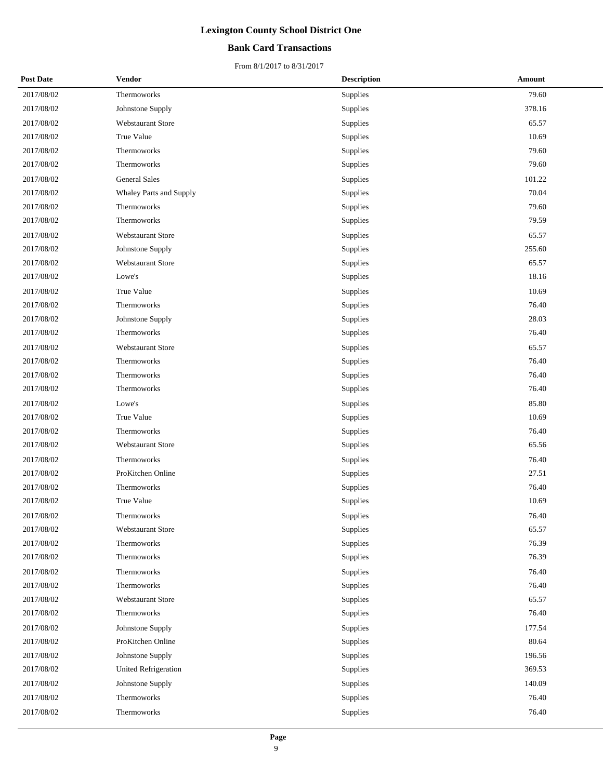## **Bank Card Transactions**

| <b>Post Date</b> | <b>Vendor</b>            | <b>Description</b> | <b>Amount</b> |
|------------------|--------------------------|--------------------|---------------|
| 2017/08/02       | Thermoworks              | Supplies           | 79.60         |
| 2017/08/02       | Johnstone Supply         | Supplies           | 378.16        |
| 2017/08/02       | <b>Webstaurant Store</b> | Supplies           | 65.57         |
| 2017/08/02       | True Value               | Supplies           | 10.69         |
| 2017/08/02       | Thermoworks              | Supplies           | 79.60         |
| 2017/08/02       | Thermoworks              | Supplies           | 79.60         |
| 2017/08/02       | <b>General Sales</b>     | Supplies           | 101.22        |
| 2017/08/02       | Whaley Parts and Supply  | Supplies           | 70.04         |
| 2017/08/02       | Thermoworks              | Supplies           | 79.60         |
| 2017/08/02       | Thermoworks              | Supplies           | 79.59         |
| 2017/08/02       | <b>Webstaurant Store</b> | Supplies           | 65.57         |
| 2017/08/02       | Johnstone Supply         | Supplies           | 255.60        |
| 2017/08/02       | Webstaurant Store        | Supplies           | 65.57         |
| 2017/08/02       | Lowe's                   | Supplies           | 18.16         |
| 2017/08/02       | True Value               | Supplies           | 10.69         |
| 2017/08/02       | Thermoworks              | Supplies           | 76.40         |
| 2017/08/02       | Johnstone Supply         | Supplies           | 28.03         |
| 2017/08/02       | Thermoworks              | Supplies           | 76.40         |
| 2017/08/02       | <b>Webstaurant Store</b> | Supplies           | 65.57         |
| 2017/08/02       | Thermoworks              | Supplies           | 76.40         |
| 2017/08/02       | Thermoworks              | Supplies           | 76.40         |
| 2017/08/02       | Thermoworks              | Supplies           | 76.40         |
| 2017/08/02       | Lowe's                   | Supplies           | 85.80         |
| 2017/08/02       | True Value               | Supplies           | 10.69         |
| 2017/08/02       | Thermoworks              | Supplies           | 76.40         |
| 2017/08/02       | <b>Webstaurant Store</b> | Supplies           | 65.56         |
| 2017/08/02       | Thermoworks              | Supplies           | 76.40         |
| 2017/08/02       | ProKitchen Online        | Supplies           | 27.51         |
| 2017/08/02       | Thermoworks              | Supplies           | 76.40         |
| 2017/08/02       | True Value               | Supplies           | 10.69         |
| 2017/08/02       | Thermoworks              | Supplies           | 76.40         |
| 2017/08/02       | Webstaurant Store        | Supplies           | 65.57         |
| 2017/08/02       | Thermoworks              | Supplies           | 76.39         |
| 2017/08/02       | Thermoworks              | Supplies           | 76.39         |
| 2017/08/02       | Thermoworks              | Supplies           | 76.40         |
| 2017/08/02       | Thermoworks              | Supplies           | 76.40         |
| 2017/08/02       | Webstaurant Store        | Supplies           | 65.57         |
| 2017/08/02       | Thermoworks              | Supplies           | 76.40         |
| 2017/08/02       | Johnstone Supply         | Supplies           | 177.54        |
| 2017/08/02       | ProKitchen Online        | Supplies           | 80.64         |
| 2017/08/02       | Johnstone Supply         | Supplies           | 196.56        |
| 2017/08/02       | United Refrigeration     | Supplies           | 369.53        |
| 2017/08/02       | Johnstone Supply         | Supplies           | 140.09        |
| 2017/08/02       | Thermoworks              | Supplies           | 76.40         |
| 2017/08/02       | Thermoworks              | Supplies           | 76.40         |
|                  |                          |                    |               |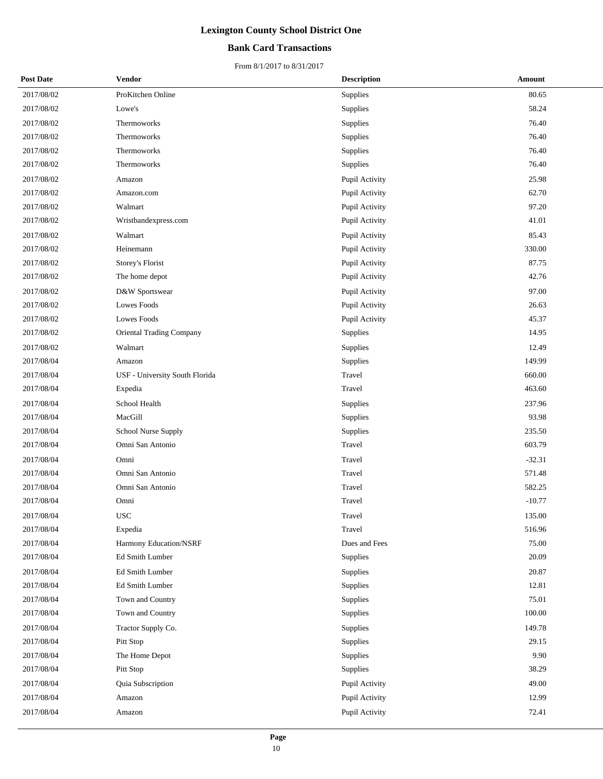## **Bank Card Transactions**

| <b>Post Date</b> | Vendor                          | <b>Description</b> | Amount   |
|------------------|---------------------------------|--------------------|----------|
| 2017/08/02       | ProKitchen Online               | Supplies           | 80.65    |
| 2017/08/02       | Lowe's                          | Supplies           | 58.24    |
| 2017/08/02       | Thermoworks                     | Supplies           | 76.40    |
| 2017/08/02       | Thermoworks                     | Supplies           | 76.40    |
| 2017/08/02       | Thermoworks                     | Supplies           | 76.40    |
| 2017/08/02       | Thermoworks                     | Supplies           | 76.40    |
| 2017/08/02       | Amazon                          | Pupil Activity     | 25.98    |
| 2017/08/02       | Amazon.com                      | Pupil Activity     | 62.70    |
| 2017/08/02       | Walmart                         | Pupil Activity     | 97.20    |
| 2017/08/02       | Wristbandexpress.com            | Pupil Activity     | 41.01    |
| 2017/08/02       | Walmart                         | Pupil Activity     | 85.43    |
| 2017/08/02       | Heinemann                       | Pupil Activity     | 330.00   |
| 2017/08/02       | Storey's Florist                | Pupil Activity     | 87.75    |
| 2017/08/02       | The home depot                  | Pupil Activity     | 42.76    |
| 2017/08/02       | D&W Sportswear                  | Pupil Activity     | 97.00    |
| 2017/08/02       | Lowes Foods                     | Pupil Activity     | 26.63    |
| 2017/08/02       | Lowes Foods                     | Pupil Activity     | 45.37    |
| 2017/08/02       | <b>Oriental Trading Company</b> | Supplies           | 14.95    |
| 2017/08/02       | Walmart                         | Supplies           | 12.49    |
| 2017/08/04       | Amazon                          | Supplies           | 149.99   |
| 2017/08/04       | USF - University South Florida  | Travel             | 660.00   |
| 2017/08/04       | Expedia                         | Travel             | 463.60   |
| 2017/08/04       | School Health                   | Supplies           | 237.96   |
| 2017/08/04       | MacGill                         | Supplies           | 93.98    |
| 2017/08/04       | School Nurse Supply             | Supplies           | 235.50   |
| 2017/08/04       | Omni San Antonio                | Travel             | 603.79   |
| 2017/08/04       | Omni                            | Travel             | $-32.31$ |
| 2017/08/04       | Omni San Antonio                | Travel             | 571.48   |
| 2017/08/04       | Omni San Antonio                | Travel             | 582.25   |
| 2017/08/04       | Omni                            | Travel             | $-10.77$ |
| 2017/08/04       | <b>USC</b>                      | Travel             | 135.00   |
| 2017/08/04       | Expedia                         | Travel             | 516.96   |
| 2017/08/04       | Harmony Education/NSRF          | Dues and Fees      | 75.00    |
| 2017/08/04       | Ed Smith Lumber                 | Supplies           | 20.09    |
| 2017/08/04       | Ed Smith Lumber                 | Supplies           | 20.87    |
| 2017/08/04       | Ed Smith Lumber                 | Supplies           | 12.81    |
| 2017/08/04       | Town and Country                | Supplies           | 75.01    |
| 2017/08/04       | Town and Country                | Supplies           | 100.00   |
| 2017/08/04       | Tractor Supply Co.              | Supplies           | 149.78   |
| 2017/08/04       | Pitt Stop                       | Supplies           | 29.15    |
| 2017/08/04       | The Home Depot                  | Supplies           | 9.90     |
| 2017/08/04       | Pitt Stop                       | Supplies           | 38.29    |
| 2017/08/04       | Quia Subscription               | Pupil Activity     | 49.00    |
| 2017/08/04       | Amazon                          | Pupil Activity     | 12.99    |
| 2017/08/04       | Amazon                          | Pupil Activity     | 72.41    |
|                  |                                 |                    |          |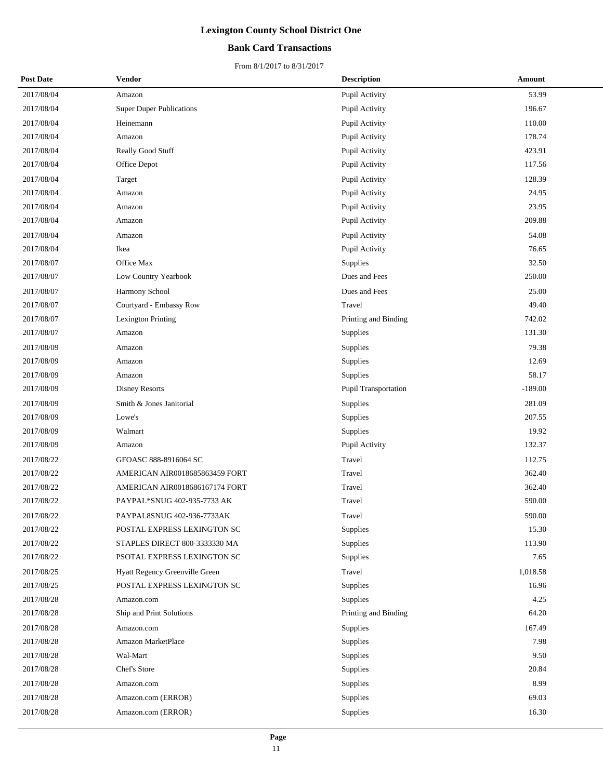## **Bank Card Transactions**

| <b>Post Date</b> | Vendor                          | <b>Description</b>   | Amount    |
|------------------|---------------------------------|----------------------|-----------|
| 2017/08/04       | Amazon                          | Pupil Activity       | 53.99     |
| 2017/08/04       | <b>Super Duper Publications</b> | Pupil Activity       | 196.67    |
| 2017/08/04       | Heinemann                       | Pupil Activity       | 110.00    |
| 2017/08/04       | Amazon                          | Pupil Activity       | 178.74    |
| 2017/08/04       | Really Good Stuff               | Pupil Activity       | 423.91    |
| 2017/08/04       | Office Depot                    | Pupil Activity       | 117.56    |
| 2017/08/04       | Target                          | Pupil Activity       | 128.39    |
| 2017/08/04       | Amazon                          | Pupil Activity       | 24.95     |
| 2017/08/04       | Amazon                          | Pupil Activity       | 23.95     |
| 2017/08/04       | Amazon                          | Pupil Activity       | 209.88    |
| 2017/08/04       | Amazon                          | Pupil Activity       | 54.08     |
| 2017/08/04       | Ikea                            | Pupil Activity       | 76.65     |
| 2017/08/07       | Office Max                      | <b>Supplies</b>      | 32.50     |
| 2017/08/07       | Low Country Yearbook            | Dues and Fees        | 250.00    |
| 2017/08/07       | Harmony School                  | Dues and Fees        | 25.00     |
| 2017/08/07       | Courtyard - Embassy Row         | Travel               | 49.40     |
| 2017/08/07       | <b>Lexington Printing</b>       | Printing and Binding | 742.02    |
| 2017/08/07       | Amazon                          | Supplies             | 131.30    |
| 2017/08/09       | Amazon                          | Supplies             | 79.38     |
| 2017/08/09       | Amazon                          | Supplies             | 12.69     |
| 2017/08/09       | Amazon                          | <b>Supplies</b>      | 58.17     |
| 2017/08/09       | Disney Resorts                  | Pupil Transportation | $-189.00$ |
| 2017/08/09       | Smith & Jones Janitorial        | Supplies             | 281.09    |
| 2017/08/09       | Lowe's                          | Supplies             | 207.55    |
| 2017/08/09       | Walmart                         | <b>Supplies</b>      | 19.92     |
| 2017/08/09       | Amazon                          | Pupil Activity       | 132.37    |
| 2017/08/22       | GFOASC 888-8916064 SC           | Travel               | 112.75    |
| 2017/08/22       | AMERICAN AIR0018685863459 FORT  | Travel               | 362.40    |
| 2017/08/22       | AMERICAN AIR0018686167174 FORT  | Travel               | 362.40    |
| 2017/08/22       | PAYPAL*SNUG 402-935-7733 AK     | Travel               | 590.00    |
| 2017/08/22       | PAYPAL8SNUG 402-936-7733AK      | Travel               | 590.00    |
| 2017/08/22       | POSTAL EXPRESS LEXINGTON SC     | Supplies             | 15.30     |
| 2017/08/22       | STAPLES DIRECT 800-3333330 MA   | Supplies             | 113.90    |
| 2017/08/22       | PSOTAL EXPRESS LEXINGTON SC     | Supplies             | 7.65      |
| 2017/08/25       | Hyatt Regency Greenville Green  | Travel               | 1,018.58  |
| 2017/08/25       | POSTAL EXPRESS LEXINGTON SC     | Supplies             | 16.96     |
| 2017/08/28       | Amazon.com                      | Supplies             | 4.25      |
| 2017/08/28       | Ship and Print Solutions        | Printing and Binding | 64.20     |
| 2017/08/28       | Amazon.com                      | Supplies             | 167.49    |
| 2017/08/28       | <b>Amazon MarketPlace</b>       | Supplies             | 7.98      |
| 2017/08/28       | Wal-Mart                        | Supplies             | 9.50      |
| 2017/08/28       | Chef's Store                    | Supplies             | 20.84     |
| 2017/08/28       | Amazon.com                      | Supplies             | 8.99      |
| 2017/08/28       | Amazon.com (ERROR)              | Supplies             | 69.03     |
| 2017/08/28       | Amazon.com (ERROR)              | Supplies             | 16.30     |
|                  |                                 |                      |           |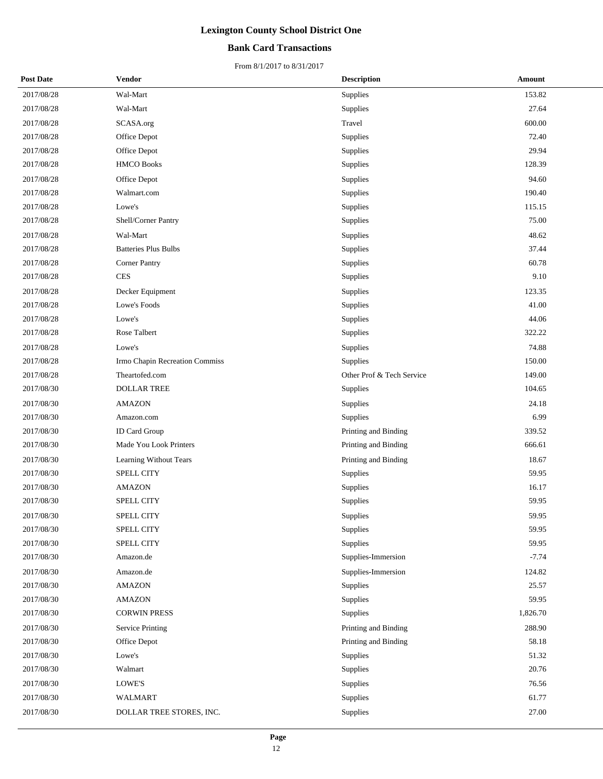### **Bank Card Transactions**

| <b>Post Date</b> | <b>Vendor</b>                  | <b>Description</b>        | Amount   |
|------------------|--------------------------------|---------------------------|----------|
| 2017/08/28       | Wal-Mart                       | Supplies                  | 153.82   |
| 2017/08/28       | Wal-Mart                       | Supplies                  | 27.64    |
| 2017/08/28       | SCASA.org                      | Travel                    | 600.00   |
| 2017/08/28       | Office Depot                   | Supplies                  | 72.40    |
| 2017/08/28       | Office Depot                   | Supplies                  | 29.94    |
| 2017/08/28       | <b>HMCO Books</b>              | Supplies                  | 128.39   |
| 2017/08/28       | Office Depot                   | Supplies                  | 94.60    |
| 2017/08/28       | Walmart.com                    | Supplies                  | 190.40   |
| 2017/08/28       | Lowe's                         | Supplies                  | 115.15   |
| 2017/08/28       | Shell/Corner Pantry            | Supplies                  | 75.00    |
| 2017/08/28       | Wal-Mart                       | Supplies                  | 48.62    |
| 2017/08/28       | <b>Batteries Plus Bulbs</b>    | Supplies                  | 37.44    |
| 2017/08/28       | Corner Pantry                  | Supplies                  | 60.78    |
| 2017/08/28       | CES                            | Supplies                  | 9.10     |
| 2017/08/28       | Decker Equipment               | <b>Supplies</b>           | 123.35   |
| 2017/08/28       | Lowe's Foods                   | Supplies                  | 41.00    |
| 2017/08/28       | Lowe's                         | Supplies                  | 44.06    |
| 2017/08/28       | Rose Talbert                   | Supplies                  | 322.22   |
| 2017/08/28       | Lowe's                         | Supplies                  | 74.88    |
| 2017/08/28       | Irmo Chapin Recreation Commiss | Supplies                  | 150.00   |
| 2017/08/28       | Theartofed.com                 | Other Prof & Tech Service | 149.00   |
| 2017/08/30       | <b>DOLLAR TREE</b>             | Supplies                  | 104.65   |
| 2017/08/30       | <b>AMAZON</b>                  | Supplies                  | 24.18    |
| 2017/08/30       | Amazon.com                     | Supplies                  | 6.99     |
| 2017/08/30       | <b>ID Card Group</b>           | Printing and Binding      | 339.52   |
| 2017/08/30       | Made You Look Printers         | Printing and Binding      | 666.61   |
| 2017/08/30       | Learning Without Tears         | Printing and Binding      | 18.67    |
| 2017/08/30       | <b>SPELL CITY</b>              | Supplies                  | 59.95    |
| 2017/08/30       | <b>AMAZON</b>                  | Supplies                  | 16.17    |
| 2017/08/30       | SPELL CITY                     | Supplies                  | 59.95    |
| 2017/08/30       | <b>SPELL CITY</b>              | Supplies                  | 59.95    |
| 2017/08/30       | SPELL CITY                     | Supplies                  | 59.95    |
| 2017/08/30       | SPELL CITY                     | Supplies                  | 59.95    |
| 2017/08/30       | Amazon.de                      | Supplies-Immersion        | $-7.74$  |
| 2017/08/30       | Amazon.de                      | Supplies-Immersion        | 124.82   |
| 2017/08/30       | <b>AMAZON</b>                  | Supplies                  | 25.57    |
| 2017/08/30       | <b>AMAZON</b>                  | Supplies                  | 59.95    |
| 2017/08/30       | <b>CORWIN PRESS</b>            | Supplies                  | 1,826.70 |
| 2017/08/30       | <b>Service Printing</b>        | Printing and Binding      | 288.90   |
| 2017/08/30       | Office Depot                   | Printing and Binding      | 58.18    |
| 2017/08/30       | Lowe's                         | Supplies                  | 51.32    |
| 2017/08/30       | Walmart                        | Supplies                  | 20.76    |
| 2017/08/30       | LOWE'S                         | Supplies                  | 76.56    |
| 2017/08/30       | WALMART                        | Supplies                  | 61.77    |
| 2017/08/30       | DOLLAR TREE STORES, INC.       | Supplies                  | 27.00    |
|                  |                                |                           |          |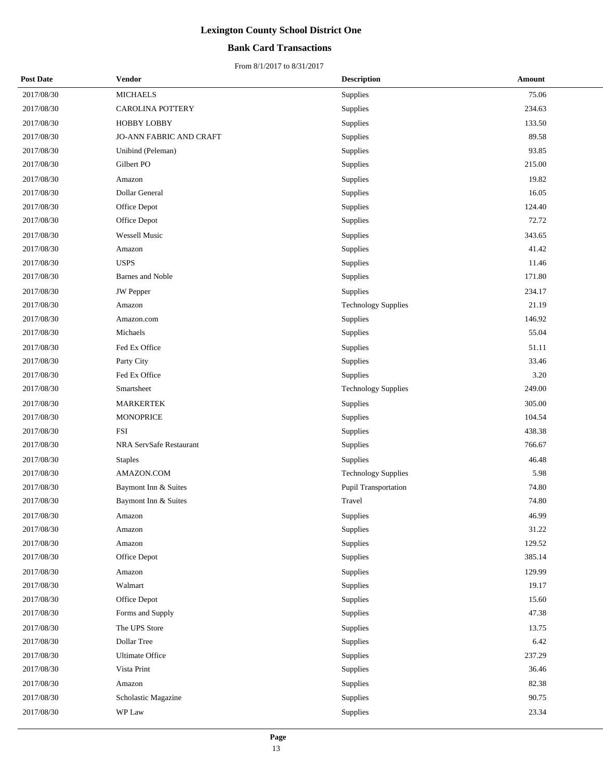## **Bank Card Transactions**

| <b>Post Date</b> | <b>Vendor</b>           | <b>Description</b>         | Amount |
|------------------|-------------------------|----------------------------|--------|
| 2017/08/30       | <b>MICHAELS</b>         | Supplies                   | 75.06  |
| 2017/08/30       | CAROLINA POTTERY        | Supplies                   | 234.63 |
| 2017/08/30       | <b>HOBBY LOBBY</b>      | Supplies                   | 133.50 |
| 2017/08/30       | JO-ANN FABRIC AND CRAFT | Supplies                   | 89.58  |
| 2017/08/30       | Unibind (Peleman)       | Supplies                   | 93.85  |
| 2017/08/30       | Gilbert PO              | Supplies                   | 215.00 |
| 2017/08/30       | Amazon                  | Supplies                   | 19.82  |
| 2017/08/30       | Dollar General          | Supplies                   | 16.05  |
| 2017/08/30       | Office Depot            | Supplies                   | 124.40 |
| 2017/08/30       | Office Depot            | Supplies                   | 72.72  |
| 2017/08/30       | Wessell Music           | Supplies                   | 343.65 |
| 2017/08/30       | Amazon                  | Supplies                   | 41.42  |
| 2017/08/30       | <b>USPS</b>             | Supplies                   | 11.46  |
| 2017/08/30       | Barnes and Noble        | Supplies                   | 171.80 |
| 2017/08/30       | <b>JW</b> Pepper        | Supplies                   | 234.17 |
| 2017/08/30       | Amazon                  | <b>Technology Supplies</b> | 21.19  |
| 2017/08/30       | Amazon.com              | Supplies                   | 146.92 |
| 2017/08/30       | Michaels                | Supplies                   | 55.04  |
| 2017/08/30       | Fed Ex Office           | Supplies                   | 51.11  |
| 2017/08/30       | Party City              | Supplies                   | 33.46  |
| 2017/08/30       | Fed Ex Office           | Supplies                   | 3.20   |
| 2017/08/30       | Smartsheet              | <b>Technology Supplies</b> | 249.00 |
| 2017/08/30       | <b>MARKERTEK</b>        | Supplies                   | 305.00 |
| 2017/08/30       | <b>MONOPRICE</b>        | Supplies                   | 104.54 |
| 2017/08/30       | <b>FSI</b>              | Supplies                   | 438.38 |
| 2017/08/30       | NRA ServSafe Restaurant | Supplies                   | 766.67 |
| 2017/08/30       | <b>Staples</b>          | Supplies                   | 46.48  |
| 2017/08/30       | AMAZON.COM              | <b>Technology Supplies</b> | 5.98   |
| 2017/08/30       | Baymont Inn & Suites    | Pupil Transportation       | 74.80  |
| 2017/08/30       | Baymont Inn & Suites    | Travel                     | 74.80  |
| 2017/08/30       | Amazon                  | Supplies                   | 46.99  |
| 2017/08/30       | Amazon                  | Supplies                   | 31.22  |
| 2017/08/30       | Amazon                  | Supplies                   | 129.52 |
| 2017/08/30       | Office Depot            | Supplies                   | 385.14 |
| 2017/08/30       | Amazon                  | Supplies                   | 129.99 |
| 2017/08/30       | Walmart                 | Supplies                   | 19.17  |
| 2017/08/30       | Office Depot            | Supplies                   | 15.60  |
| 2017/08/30       | Forms and Supply        | Supplies                   | 47.38  |
| 2017/08/30       | The UPS Store           | Supplies                   | 13.75  |
| 2017/08/30       | Dollar Tree             | Supplies                   | 6.42   |
| 2017/08/30       | <b>Ultimate Office</b>  | Supplies                   | 237.29 |
| 2017/08/30       | Vista Print             | Supplies                   | 36.46  |
| 2017/08/30       | Amazon                  | Supplies                   | 82.38  |
| 2017/08/30       | Scholastic Magazine     | Supplies                   | 90.75  |
| 2017/08/30       | WP Law                  | Supplies                   | 23.34  |
|                  |                         |                            |        |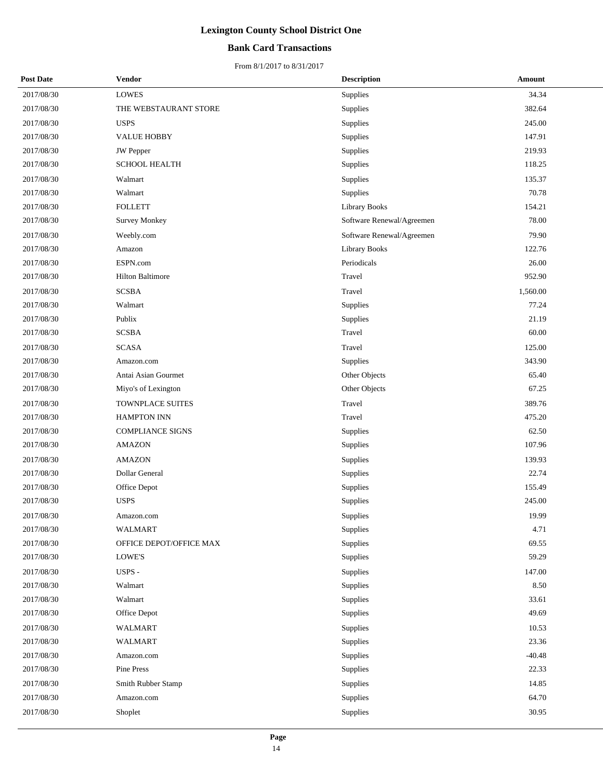## **Bank Card Transactions**

| <b>Post Date</b> | Vendor                  | <b>Description</b>        | Amount   |
|------------------|-------------------------|---------------------------|----------|
| 2017/08/30       | <b>LOWES</b>            | <b>Supplies</b>           | 34.34    |
| 2017/08/30       | THE WEBSTAURANT STORE   | Supplies                  | 382.64   |
| 2017/08/30       | <b>USPS</b>             | Supplies                  | 245.00   |
| 2017/08/30       | <b>VALUE HOBBY</b>      | Supplies                  | 147.91   |
| 2017/08/30       | JW Pepper               | Supplies                  | 219.93   |
| 2017/08/30       | <b>SCHOOL HEALTH</b>    | Supplies                  | 118.25   |
| 2017/08/30       | Walmart                 | Supplies                  | 135.37   |
| 2017/08/30       | Walmart                 | Supplies                  | 70.78    |
| 2017/08/30       | <b>FOLLETT</b>          | Library Books             | 154.21   |
| 2017/08/30       | <b>Survey Monkey</b>    | Software Renewal/Agreemen | 78.00    |
| 2017/08/30       | Weebly.com              | Software Renewal/Agreemen | 79.90    |
| 2017/08/30       | Amazon                  | Library Books             | 122.76   |
| 2017/08/30       | ESPN.com                | Periodicals               | 26.00    |
| 2017/08/30       | <b>Hilton Baltimore</b> | Travel                    | 952.90   |
| 2017/08/30       | <b>SCSBA</b>            | Travel                    | 1,560.00 |
| 2017/08/30       | Walmart                 | Supplies                  | 77.24    |
| 2017/08/30       | Publix                  | Supplies                  | 21.19    |
| 2017/08/30       | <b>SCSBA</b>            | Travel                    | 60.00    |
| 2017/08/30       | <b>SCASA</b>            | Travel                    | 125.00   |
| 2017/08/30       | Amazon.com              | Supplies                  | 343.90   |
| 2017/08/30       | Antai Asian Gourmet     | Other Objects             | 65.40    |
| 2017/08/30       | Miyo's of Lexington     | Other Objects             | 67.25    |
| 2017/08/30       | TOWNPLACE SUITES        | Travel                    | 389.76   |
| 2017/08/30       | <b>HAMPTON INN</b>      | Travel                    | 475.20   |
| 2017/08/30       | COMPLIANCE SIGNS        | Supplies                  | 62.50    |
| 2017/08/30       | <b>AMAZON</b>           | Supplies                  | 107.96   |
| 2017/08/30       | <b>AMAZON</b>           | Supplies                  | 139.93   |
| 2017/08/30       | Dollar General          | Supplies                  | 22.74    |
| 2017/08/30       | Office Depot            | Supplies                  | 155.49   |
| 2017/08/30       | <b>USPS</b>             | Supplies                  | 245.00   |
| 2017/08/30       | Amazon.com              | Supplies                  | 19.99    |
| 2017/08/30       | <b>WALMART</b>          | Supplies                  | 4.71     |
| 2017/08/30       | OFFICE DEPOT/OFFICE MAX | Supplies                  | 69.55    |
| 2017/08/30       | $\operatorname{LOWE'S}$ | Supplies                  | 59.29    |
| 2017/08/30       | USPS -                  | Supplies                  | 147.00   |
| 2017/08/30       | Walmart                 | Supplies                  | 8.50     |
| 2017/08/30       | Walmart                 | Supplies                  | 33.61    |
| 2017/08/30       | Office Depot            | Supplies                  | 49.69    |
| 2017/08/30       | <b>WALMART</b>          | Supplies                  | 10.53    |
| 2017/08/30       | <b>WALMART</b>          | Supplies                  | 23.36    |
| 2017/08/30       | Amazon.com              | Supplies                  | $-40.48$ |
| 2017/08/30       | Pine Press              | Supplies                  | 22.33    |
| 2017/08/30       | Smith Rubber Stamp      | Supplies                  | 14.85    |
| 2017/08/30       | Amazon.com              | Supplies                  | 64.70    |
| 2017/08/30       | Shoplet                 | Supplies                  | 30.95    |
|                  |                         |                           |          |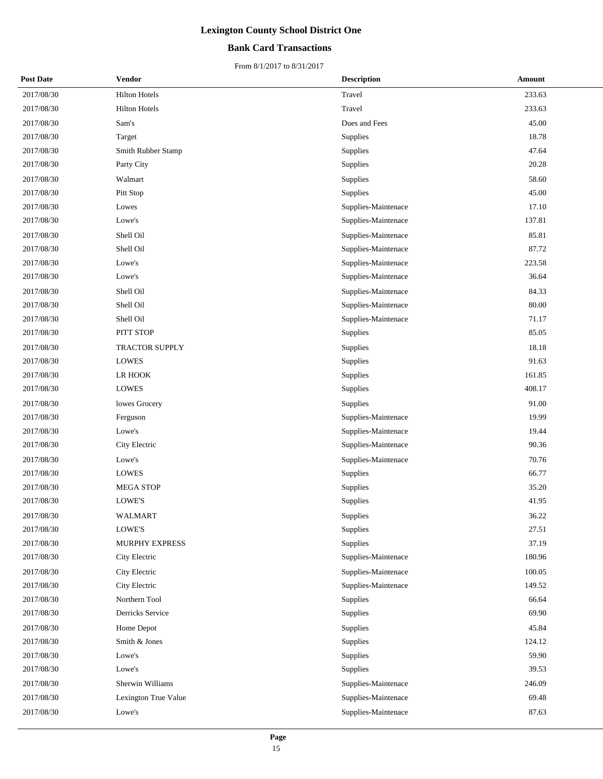## **Bank Card Transactions**

| <b>Post Date</b> | <b>Vendor</b>         | <b>Description</b>  | Amount |
|------------------|-----------------------|---------------------|--------|
| 2017/08/30       | <b>Hilton Hotels</b>  | Travel              | 233.63 |
| 2017/08/30       | <b>Hilton Hotels</b>  | Travel              | 233.63 |
| 2017/08/30       | Sam's                 | Dues and Fees       | 45.00  |
| 2017/08/30       | Target                | Supplies            | 18.78  |
| 2017/08/30       | Smith Rubber Stamp    | Supplies            | 47.64  |
| 2017/08/30       | Party City            | Supplies            | 20.28  |
| 2017/08/30       | Walmart               | Supplies            | 58.60  |
| 2017/08/30       | Pitt Stop             | Supplies            | 45.00  |
| 2017/08/30       | Lowes                 | Supplies-Maintenace | 17.10  |
| 2017/08/30       | Lowe's                | Supplies-Maintenace | 137.81 |
| 2017/08/30       | Shell Oil             | Supplies-Maintenace | 85.81  |
| 2017/08/30       | Shell Oil             | Supplies-Maintenace | 87.72  |
| 2017/08/30       | Lowe's                | Supplies-Maintenace | 223.58 |
| 2017/08/30       | Lowe's                | Supplies-Maintenace | 36.64  |
| 2017/08/30       | Shell Oil             | Supplies-Maintenace | 84.33  |
| 2017/08/30       | Shell Oil             | Supplies-Maintenace | 80.00  |
| 2017/08/30       | Shell Oil             | Supplies-Maintenace | 71.17  |
| 2017/08/30       | PITT STOP             | Supplies            | 85.05  |
| 2017/08/30       | <b>TRACTOR SUPPLY</b> | Supplies            | 18.18  |
| 2017/08/30       | <b>LOWES</b>          | Supplies            | 91.63  |
| 2017/08/30       | LR HOOK               | Supplies            | 161.85 |
| 2017/08/30       | <b>LOWES</b>          | Supplies            | 408.17 |
| 2017/08/30       | lowes Grocery         | Supplies            | 91.00  |
| 2017/08/30       | Ferguson              | Supplies-Maintenace | 19.99  |
| 2017/08/30       | Lowe's                | Supplies-Maintenace | 19.44  |
| 2017/08/30       | City Electric         | Supplies-Maintenace | 90.36  |
| 2017/08/30       | Lowe's                | Supplies-Maintenace | 70.76  |
| 2017/08/30       | <b>LOWES</b>          | Supplies            | 66.77  |
| 2017/08/30       | <b>MEGA STOP</b>      | Supplies            | 35.20  |
| 2017/08/30       | LOWE'S                | Supplies            | 41.95  |
| 2017/08/30       | WALMART               | Supplies            | 36.22  |
| 2017/08/30       | LOWE'S                | Supplies            | 27.51  |
| 2017/08/30       | MURPHY EXPRESS        | Supplies            | 37.19  |
| 2017/08/30       | City Electric         | Supplies-Maintenace | 180.96 |
| 2017/08/30       | City Electric         | Supplies-Maintenace | 100.05 |
| 2017/08/30       | City Electric         | Supplies-Maintenace | 149.52 |
| 2017/08/30       | Northern Tool         | Supplies            | 66.64  |
| 2017/08/30       | Derricks Service      | Supplies            | 69.90  |
| 2017/08/30       | Home Depot            | Supplies            | 45.84  |
| 2017/08/30       | Smith & Jones         | Supplies            | 124.12 |
| 2017/08/30       | Lowe's                | Supplies            | 59.90  |
| 2017/08/30       | Lowe's                | Supplies            | 39.53  |
| 2017/08/30       | Sherwin Williams      | Supplies-Maintenace | 246.09 |
| 2017/08/30       | Lexington True Value  | Supplies-Maintenace | 69.48  |
| 2017/08/30       | Lowe's                | Supplies-Maintenace | 87.63  |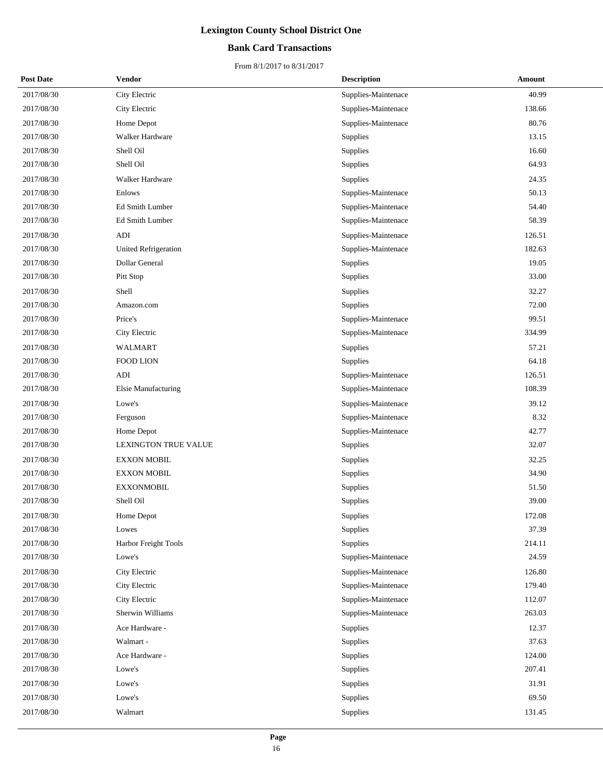## **Bank Card Transactions**

| <b>Post Date</b> | Vendor                      | <b>Description</b>  | Amount |
|------------------|-----------------------------|---------------------|--------|
| 2017/08/30       | City Electric               | Supplies-Maintenace | 40.99  |
| 2017/08/30       | City Electric               | Supplies-Maintenace | 138.66 |
| 2017/08/30       | Home Depot                  | Supplies-Maintenace | 80.76  |
| 2017/08/30       | Walker Hardware             | Supplies            | 13.15  |
| 2017/08/30       | Shell Oil                   | Supplies            | 16.60  |
| 2017/08/30       | Shell Oil                   | Supplies            | 64.93  |
| 2017/08/30       | Walker Hardware             | Supplies            | 24.35  |
| 2017/08/30       | Enlows                      | Supplies-Maintenace | 50.13  |
| 2017/08/30       | Ed Smith Lumber             | Supplies-Maintenace | 54.40  |
| 2017/08/30       | Ed Smith Lumber             | Supplies-Maintenace | 58.39  |
| 2017/08/30       | <b>ADI</b>                  | Supplies-Maintenace | 126.51 |
| 2017/08/30       | <b>United Refrigeration</b> | Supplies-Maintenace | 182.63 |
| 2017/08/30       | Dollar General              | Supplies            | 19.05  |
| 2017/08/30       | Pitt Stop                   | Supplies            | 33.00  |
| 2017/08/30       | Shell                       | Supplies            | 32.27  |
| 2017/08/30       | Amazon.com                  | Supplies            | 72.00  |
| 2017/08/30       | Price's                     | Supplies-Maintenace | 99.51  |
| 2017/08/30       | City Electric               | Supplies-Maintenace | 334.99 |
| 2017/08/30       | WALMART                     | Supplies            | 57.21  |
| 2017/08/30       | <b>FOOD LION</b>            | Supplies            | 64.18  |
| 2017/08/30       | ADI                         | Supplies-Maintenace | 126.51 |
| 2017/08/30       | Elsie Manufacturing         | Supplies-Maintenace | 108.39 |
| 2017/08/30       | Lowe's                      | Supplies-Maintenace | 39.12  |
| 2017/08/30       | Ferguson                    | Supplies-Maintenace | 8.32   |
| 2017/08/30       | Home Depot                  | Supplies-Maintenace | 42.77  |
| 2017/08/30       | <b>LEXINGTON TRUE VALUE</b> | Supplies            | 32.07  |
| 2017/08/30       | <b>EXXON MOBIL</b>          | Supplies            | 32.25  |
| 2017/08/30       | <b>EXXON MOBIL</b>          | Supplies            | 34.90  |
| 2017/08/30       | <b>EXXONMOBIL</b>           | Supplies            | 51.50  |
| 2017/08/30       | Shell Oil                   | Supplies            | 39.00  |
| 2017/08/30       | Home Depot                  | Supplies            | 172.08 |
| 2017/08/30       | Lowes                       | Supplies            | 37.39  |
| 2017/08/30       | Harbor Freight Tools        | Supplies            | 214.11 |
| 2017/08/30       | Lowe's                      | Supplies-Maintenace | 24.59  |
| 2017/08/30       | City Electric               | Supplies-Maintenace | 126.80 |
| 2017/08/30       | City Electric               | Supplies-Maintenace | 179.40 |
| 2017/08/30       | City Electric               | Supplies-Maintenace | 112.07 |
| 2017/08/30       | Sherwin Williams            | Supplies-Maintenace | 263.03 |
| 2017/08/30       | Ace Hardware -              | Supplies            | 12.37  |
| 2017/08/30       | Walmart -                   | Supplies            | 37.63  |
| 2017/08/30       | Ace Hardware -              | Supplies            | 124.00 |
| 2017/08/30       | Lowe's                      | Supplies            | 207.41 |
| 2017/08/30       | Lowe's                      | Supplies            | 31.91  |
| 2017/08/30       | Lowe's                      | Supplies            | 69.50  |
| 2017/08/30       | Walmart                     | Supplies            | 131.45 |
|                  |                             |                     |        |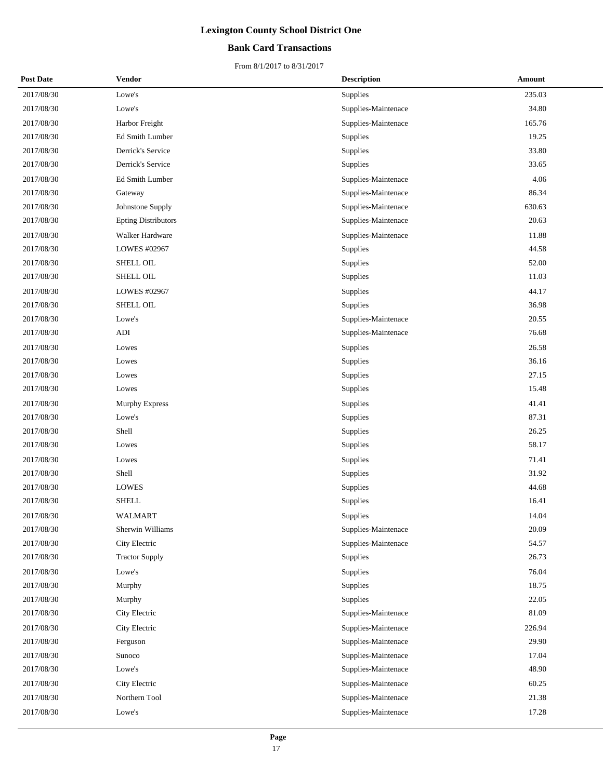## **Bank Card Transactions**

| <b>Post Date</b> | Vendor                     | <b>Description</b>  | Amount |
|------------------|----------------------------|---------------------|--------|
| 2017/08/30       | Lowe's                     | Supplies            | 235.03 |
| 2017/08/30       | Lowe's                     | Supplies-Maintenace | 34.80  |
| 2017/08/30       | Harbor Freight             | Supplies-Maintenace | 165.76 |
| 2017/08/30       | <b>Ed Smith Lumber</b>     | Supplies            | 19.25  |
| 2017/08/30       | Derrick's Service          | Supplies            | 33.80  |
| 2017/08/30       | Derrick's Service          | Supplies            | 33.65  |
| 2017/08/30       | Ed Smith Lumber            | Supplies-Maintenace | 4.06   |
| 2017/08/30       | Gateway                    | Supplies-Maintenace | 86.34  |
| 2017/08/30       | Johnstone Supply           | Supplies-Maintenace | 630.63 |
| 2017/08/30       | <b>Epting Distributors</b> | Supplies-Maintenace | 20.63  |
| 2017/08/30       | Walker Hardware            | Supplies-Maintenace | 11.88  |
| 2017/08/30       | LOWES #02967               | Supplies            | 44.58  |
| 2017/08/30       | SHELL OIL                  | Supplies            | 52.00  |
| 2017/08/30       | SHELL OIL                  | Supplies            | 11.03  |
| 2017/08/30       | LOWES #02967               | Supplies            | 44.17  |
| 2017/08/30       | SHELL OIL                  | Supplies            | 36.98  |
| 2017/08/30       | Lowe's                     | Supplies-Maintenace | 20.55  |
| 2017/08/30       | <b>ADI</b>                 | Supplies-Maintenace | 76.68  |
| 2017/08/30       | Lowes                      | Supplies            | 26.58  |
| 2017/08/30       | Lowes                      | Supplies            | 36.16  |
| 2017/08/30       | Lowes                      | Supplies            | 27.15  |
| 2017/08/30       | Lowes                      | Supplies            | 15.48  |
| 2017/08/30       | <b>Murphy Express</b>      | Supplies            | 41.41  |
| 2017/08/30       | Lowe's                     | Supplies            | 87.31  |
| 2017/08/30       | Shell                      | Supplies            | 26.25  |
| 2017/08/30       | Lowes                      | Supplies            | 58.17  |
| 2017/08/30       | Lowes                      | Supplies            | 71.41  |
| 2017/08/30       | Shell                      | Supplies            | 31.92  |
| 2017/08/30       | <b>LOWES</b>               | Supplies            | 44.68  |
| 2017/08/30       | <b>SHELL</b>               | Supplies            | 16.41  |
| 2017/08/30       | <b>WALMART</b>             | Supplies            | 14.04  |
| 2017/08/30       | Sherwin Williams           | Supplies-Maintenace | 20.09  |
| 2017/08/30       | City Electric              | Supplies-Maintenace | 54.57  |
| 2017/08/30       | <b>Tractor Supply</b>      | Supplies            | 26.73  |
| 2017/08/30       | Lowe's                     | Supplies            | 76.04  |
| 2017/08/30       | Murphy                     | Supplies            | 18.75  |
| 2017/08/30       | Murphy                     | Supplies            | 22.05  |
| 2017/08/30       | City Electric              | Supplies-Maintenace | 81.09  |
| 2017/08/30       | City Electric              | Supplies-Maintenace | 226.94 |
| 2017/08/30       | Ferguson                   | Supplies-Maintenace | 29.90  |
| 2017/08/30       | Sunoco                     | Supplies-Maintenace | 17.04  |
| 2017/08/30       | Lowe's                     | Supplies-Maintenace | 48.90  |
| 2017/08/30       | City Electric              | Supplies-Maintenace | 60.25  |
| 2017/08/30       | Northern Tool              | Supplies-Maintenace | 21.38  |
| 2017/08/30       | Lowe's                     | Supplies-Maintenace | 17.28  |
|                  |                            |                     |        |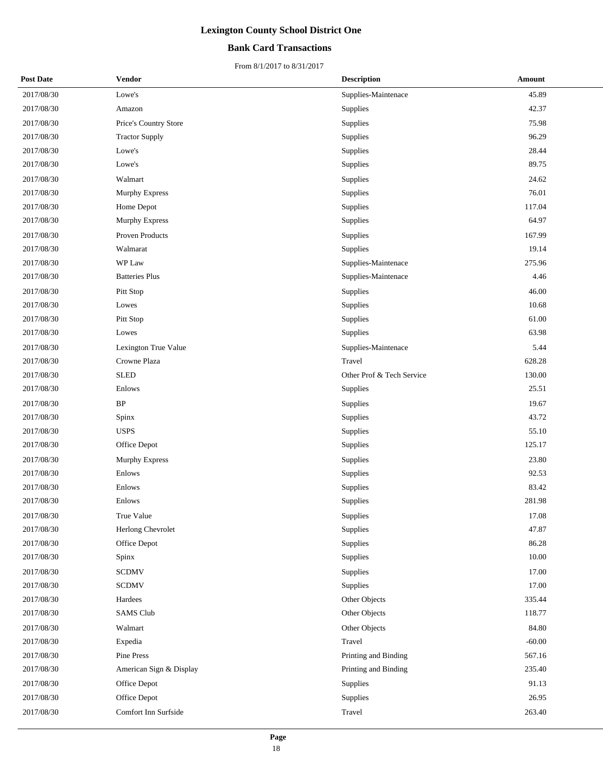## **Bank Card Transactions**

| <b>Post Date</b> | Vendor                  | <b>Description</b>        | Amount   |
|------------------|-------------------------|---------------------------|----------|
| 2017/08/30       | Lowe's                  | Supplies-Maintenace       | 45.89    |
| 2017/08/30       | Amazon                  | Supplies                  | 42.37    |
| 2017/08/30       | Price's Country Store   | Supplies                  | 75.98    |
| 2017/08/30       | <b>Tractor Supply</b>   | Supplies                  | 96.29    |
| 2017/08/30       | Lowe's                  | <b>Supplies</b>           | 28.44    |
| 2017/08/30       | Lowe's                  | Supplies                  | 89.75    |
| 2017/08/30       | Walmart                 | Supplies                  | 24.62    |
| 2017/08/30       | <b>Murphy Express</b>   | Supplies                  | 76.01    |
| 2017/08/30       | Home Depot              | Supplies                  | 117.04   |
| 2017/08/30       | Murphy Express          | Supplies                  | 64.97    |
| 2017/08/30       | Proven Products         | Supplies                  | 167.99   |
| 2017/08/30       | Walmarat                | Supplies                  | 19.14    |
| 2017/08/30       | WP Law                  | Supplies-Maintenace       | 275.96   |
| 2017/08/30       | <b>Batteries Plus</b>   | Supplies-Maintenace       | 4.46     |
| 2017/08/30       | Pitt Stop               | Supplies                  | 46.00    |
| 2017/08/30       | Lowes                   | Supplies                  | 10.68    |
| 2017/08/30       | Pitt Stop               | Supplies                  | 61.00    |
| 2017/08/30       | Lowes                   | Supplies                  | 63.98    |
| 2017/08/30       | Lexington True Value    | Supplies-Maintenace       | 5.44     |
| 2017/08/30       | Crowne Plaza            | Travel                    | 628.28   |
| 2017/08/30       | <b>SLED</b>             | Other Prof & Tech Service | 130.00   |
| 2017/08/30       | Enlows                  | Supplies                  | 25.51    |
| 2017/08/30       | $\rm BP$                | Supplies                  | 19.67    |
| 2017/08/30       | Spinx                   | Supplies                  | 43.72    |
| 2017/08/30       | <b>USPS</b>             | Supplies                  | 55.10    |
| 2017/08/30       | Office Depot            | Supplies                  | 125.17   |
| 2017/08/30       | <b>Murphy Express</b>   | Supplies                  | 23.80    |
| 2017/08/30       | Enlows                  | Supplies                  | 92.53    |
| 2017/08/30       | Enlows                  | Supplies                  | 83.42    |
| 2017/08/30       | Enlows                  | Supplies                  | 281.98   |
| 2017/08/30       | True Value              | Supplies                  | 17.08    |
| 2017/08/30       | Herlong Chevrolet       | Supplies                  | 47.87    |
| 2017/08/30       | Office Depot            | Supplies                  | 86.28    |
| 2017/08/30       | Spinx                   | Supplies                  | 10.00    |
| 2017/08/30       | <b>SCDMV</b>            | Supplies                  | 17.00    |
| 2017/08/30       | <b>SCDMV</b>            | Supplies                  | 17.00    |
| 2017/08/30       | Hardees                 | Other Objects             | 335.44   |
| 2017/08/30       | <b>SAMS Club</b>        | Other Objects             | 118.77   |
| 2017/08/30       | Walmart                 | Other Objects             | 84.80    |
| 2017/08/30       | Expedia                 | Travel                    | $-60.00$ |
| 2017/08/30       | Pine Press              | Printing and Binding      | 567.16   |
| 2017/08/30       | American Sign & Display | Printing and Binding      | 235.40   |
| 2017/08/30       | Office Depot            | Supplies                  | 91.13    |
| 2017/08/30       | Office Depot            | Supplies                  | 26.95    |
| 2017/08/30       | Comfort Inn Surfside    | Travel                    | 263.40   |
|                  |                         |                           |          |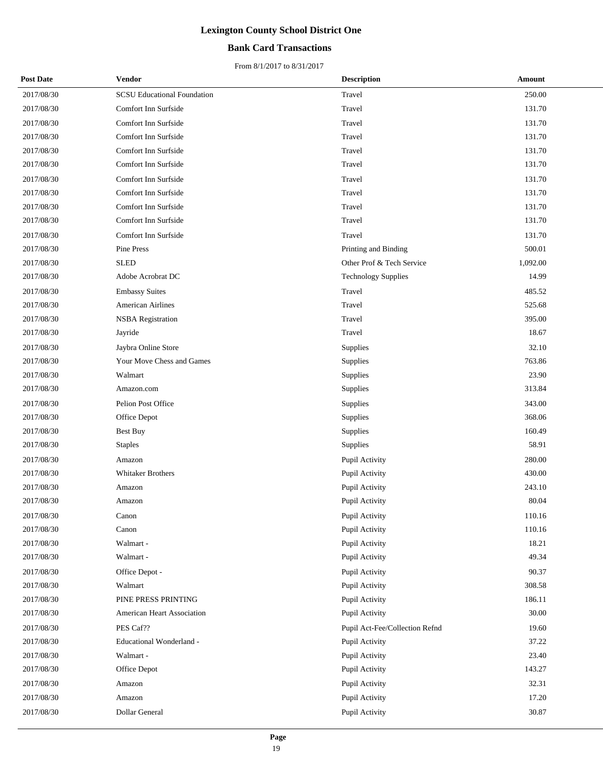## **Bank Card Transactions**

| <b>Post Date</b> | <b>Vendor</b>                      | <b>Description</b>             | Amount   |
|------------------|------------------------------------|--------------------------------|----------|
| 2017/08/30       | <b>SCSU Educational Foundation</b> | Travel                         | 250.00   |
| 2017/08/30       | Comfort Inn Surfside               | Travel                         | 131.70   |
| 2017/08/30       | Comfort Inn Surfside               | Travel                         | 131.70   |
| 2017/08/30       | Comfort Inn Surfside               | Travel                         | 131.70   |
| 2017/08/30       | Comfort Inn Surfside               | Travel                         | 131.70   |
| 2017/08/30       | Comfort Inn Surfside               | Travel                         | 131.70   |
| 2017/08/30       | Comfort Inn Surfside               | Travel                         | 131.70   |
| 2017/08/30       | Comfort Inn Surfside               | Travel                         | 131.70   |
| 2017/08/30       | Comfort Inn Surfside               | Travel                         | 131.70   |
| 2017/08/30       | Comfort Inn Surfside               | Travel                         | 131.70   |
| 2017/08/30       | Comfort Inn Surfside               | Travel                         | 131.70   |
| 2017/08/30       | Pine Press                         | Printing and Binding           | 500.01   |
| 2017/08/30       | <b>SLED</b>                        | Other Prof & Tech Service      | 1,092.00 |
| 2017/08/30       | Adobe Acrobrat DC                  | <b>Technology Supplies</b>     | 14.99    |
| 2017/08/30       | <b>Embassy Suites</b>              | Travel                         | 485.52   |
| 2017/08/30       | <b>American Airlines</b>           | Travel                         | 525.68   |
| 2017/08/30       | <b>NSBA</b> Registration           | Travel                         | 395.00   |
| 2017/08/30       | Jayride                            | Travel                         | 18.67    |
| 2017/08/30       | Jaybra Online Store                | Supplies                       | 32.10    |
| 2017/08/30       | Your Move Chess and Games          | Supplies                       | 763.86   |
| 2017/08/30       | Walmart                            | Supplies                       | 23.90    |
| 2017/08/30       | Amazon.com                         | Supplies                       | 313.84   |
| 2017/08/30       | Pelion Post Office                 | Supplies                       | 343.00   |
| 2017/08/30       | Office Depot                       | Supplies                       | 368.06   |
| 2017/08/30       | <b>Best Buy</b>                    | Supplies                       | 160.49   |
| 2017/08/30       | <b>Staples</b>                     | Supplies                       | 58.91    |
| 2017/08/30       | Amazon                             | Pupil Activity                 | 280.00   |
| 2017/08/30       | <b>Whitaker Brothers</b>           | Pupil Activity                 | 430.00   |
| 2017/08/30       | Amazon                             | Pupil Activity                 | 243.10   |
| 2017/08/30       | Amazon                             | Pupil Activity                 | 80.04    |
| 2017/08/30       | Canon                              | <b>Pupil Activity</b>          | 110.16   |
| 2017/08/30       | Canon                              | Pupil Activity                 | 110.16   |
| 2017/08/30       | Walmart -                          | Pupil Activity                 | 18.21    |
| 2017/08/30       | Walmart -                          | Pupil Activity                 | 49.34    |
| 2017/08/30       | Office Depot -                     | Pupil Activity                 | 90.37    |
| 2017/08/30       | Walmart                            | Pupil Activity                 | 308.58   |
| 2017/08/30       | PINE PRESS PRINTING                | Pupil Activity                 | 186.11   |
| 2017/08/30       | <b>American Heart Association</b>  | Pupil Activity                 | 30.00    |
| 2017/08/30       | PES Caf??                          | Pupil Act-Fee/Collection Refnd | 19.60    |
| 2017/08/30       | Educational Wonderland -           | Pupil Activity                 | 37.22    |
| 2017/08/30       | Walmart -                          | Pupil Activity                 | 23.40    |
| 2017/08/30       | Office Depot                       | Pupil Activity                 | 143.27   |
| 2017/08/30       | Amazon                             | Pupil Activity                 | 32.31    |
| 2017/08/30       | Amazon                             | Pupil Activity                 | 17.20    |
| 2017/08/30       | Dollar General                     | Pupil Activity                 | 30.87    |
|                  |                                    |                                |          |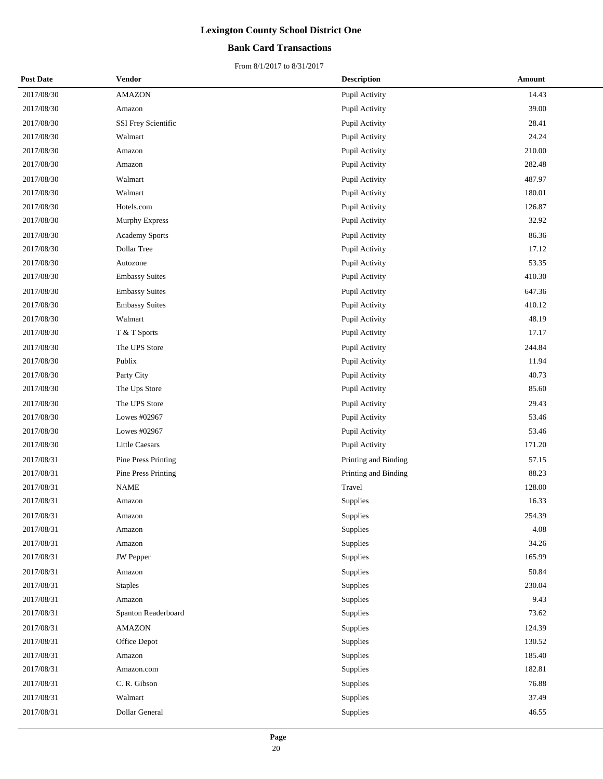## **Bank Card Transactions**

| <b>Post Date</b> | Vendor                | <b>Description</b>   | Amount |
|------------------|-----------------------|----------------------|--------|
| 2017/08/30       | <b>AMAZON</b>         | Pupil Activity       | 14.43  |
| 2017/08/30       | Amazon                | Pupil Activity       | 39.00  |
| 2017/08/30       | SSI Frey Scientific   | Pupil Activity       | 28.41  |
| 2017/08/30       | Walmart               | Pupil Activity       | 24.24  |
| 2017/08/30       | Amazon                | Pupil Activity       | 210.00 |
| 2017/08/30       | Amazon                | Pupil Activity       | 282.48 |
| 2017/08/30       | Walmart               | Pupil Activity       | 487.97 |
| 2017/08/30       | Walmart               | Pupil Activity       | 180.01 |
| 2017/08/30       | Hotels.com            | Pupil Activity       | 126.87 |
| 2017/08/30       | Murphy Express        | Pupil Activity       | 32.92  |
| 2017/08/30       | <b>Academy Sports</b> | Pupil Activity       | 86.36  |
| 2017/08/30       | Dollar Tree           | Pupil Activity       | 17.12  |
| 2017/08/30       | Autozone              | Pupil Activity       | 53.35  |
| 2017/08/30       | <b>Embassy Suites</b> | Pupil Activity       | 410.30 |
| 2017/08/30       | <b>Embassy Suites</b> | Pupil Activity       | 647.36 |
| 2017/08/30       | <b>Embassy Suites</b> | Pupil Activity       | 410.12 |
| 2017/08/30       | Walmart               | Pupil Activity       | 48.19  |
| 2017/08/30       | T & T Sports          | Pupil Activity       | 17.17  |
| 2017/08/30       | The UPS Store         | Pupil Activity       | 244.84 |
| 2017/08/30       | Publix                | Pupil Activity       | 11.94  |
| 2017/08/30       | Party City            | Pupil Activity       | 40.73  |
| 2017/08/30       | The Ups Store         | Pupil Activity       | 85.60  |
| 2017/08/30       | The UPS Store         | Pupil Activity       | 29.43  |
| 2017/08/30       | Lowes #02967          | Pupil Activity       | 53.46  |
| 2017/08/30       | Lowes #02967          | Pupil Activity       | 53.46  |
| 2017/08/30       | Little Caesars        | Pupil Activity       | 171.20 |
| 2017/08/31       | Pine Press Printing   | Printing and Binding | 57.15  |
| 2017/08/31       | Pine Press Printing   | Printing and Binding | 88.23  |
| 2017/08/31       | <b>NAME</b>           | Travel               | 128.00 |
| 2017/08/31       | Amazon                | Supplies             | 16.33  |
| 2017/08/31       | Amazon                | Supplies             | 254.39 |
| 2017/08/31       | Amazon                | Supplies             | 4.08   |
| 2017/08/31       | Amazon                | Supplies             | 34.26  |
| 2017/08/31       | <b>JW</b> Pepper      | Supplies             | 165.99 |
| 2017/08/31       | Amazon                | Supplies             | 50.84  |
| 2017/08/31       | <b>Staples</b>        | Supplies             | 230.04 |
| 2017/08/31       | Amazon                | Supplies             | 9.43   |
| 2017/08/31       | Spanton Readerboard   | Supplies             | 73.62  |
| 2017/08/31       | <b>AMAZON</b>         | Supplies             | 124.39 |
| 2017/08/31       | Office Depot          | Supplies             | 130.52 |
| 2017/08/31       | Amazon                | Supplies             | 185.40 |
| 2017/08/31       | Amazon.com            | Supplies             | 182.81 |
| 2017/08/31       | C. R. Gibson          | Supplies             | 76.88  |
| 2017/08/31       | Walmart               | Supplies             | 37.49  |
| 2017/08/31       | Dollar General        | Supplies             | 46.55  |
|                  |                       |                      |        |